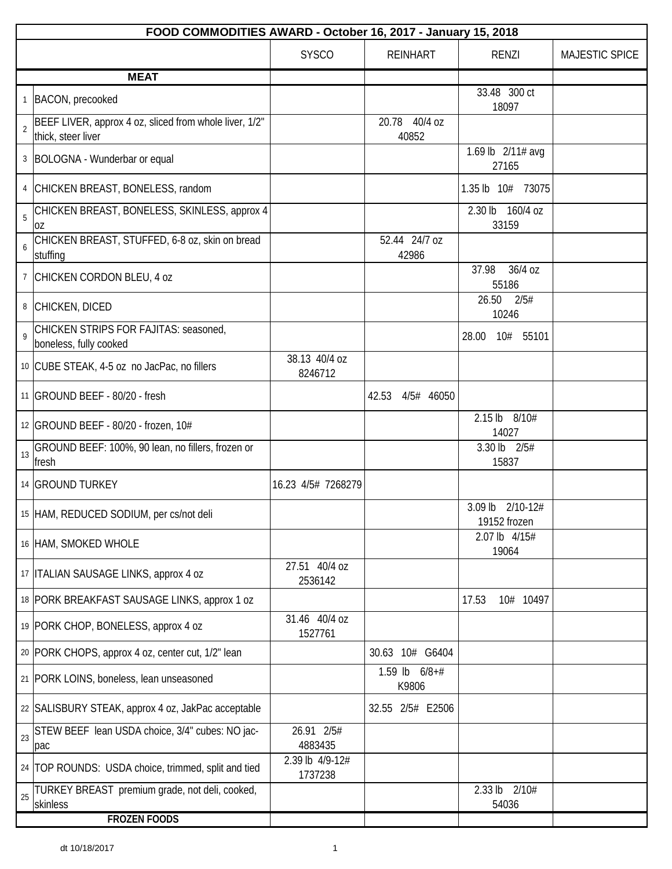|                | FOOD COMMODITIES AWARD - October 16, 2017 - January 15, 2018                 |                            |                          |                                  |                |  |  |
|----------------|------------------------------------------------------------------------------|----------------------------|--------------------------|----------------------------------|----------------|--|--|
|                |                                                                              | <b>SYSCO</b>               | <b>REINHART</b>          | <b>RENZI</b>                     | MAJESTIC SPICE |  |  |
|                | <b>MEAT</b>                                                                  |                            |                          |                                  |                |  |  |
|                | 1 BACON, precooked                                                           |                            |                          | 33.48 300 ct<br>18097            |                |  |  |
| $\overline{2}$ | BEEF LIVER, approx 4 oz, sliced from whole liver, 1/2"<br>thick, steer liver |                            | 20.78 40/4 oz<br>40852   |                                  |                |  |  |
|                | 3   BOLOGNA - Wunderbar or equal                                             |                            |                          | 1.69 lb 2/11# avg<br>27165       |                |  |  |
| 4              | CHICKEN BREAST, BONELESS, random                                             |                            |                          | 1.35 lb 10# 73075                |                |  |  |
| 5              | CHICKEN BREAST, BONELESS, SKINLESS, approx 4<br>0Z                           |                            |                          | 2.30 lb 160/4 oz<br>33159        |                |  |  |
| 6              | CHICKEN BREAST, STUFFED, 6-8 oz, skin on bread<br>stuffing                   |                            | 52.44 24/7 oz<br>42986   |                                  |                |  |  |
|                | CHICKEN CORDON BLEU, 4 oz                                                    |                            |                          | 37.98<br>36/4 oz<br>55186        |                |  |  |
| 8              | CHICKEN, DICED                                                               |                            |                          | 26.50<br>2/5#<br>10246           |                |  |  |
| 9              | CHICKEN STRIPS FOR FAJITAS: seasoned,<br>boneless, fully cooked              |                            |                          | 28.00<br>10# 55101               |                |  |  |
|                | 10 CUBE STEAK, 4-5 oz no JacPac, no fillers                                  | 38.13 40/4 oz<br>8246712   |                          |                                  |                |  |  |
|                | 11 GROUND BEEF - 80/20 - fresh                                               |                            | 42.53 4/5# 46050         |                                  |                |  |  |
|                | 12 GROUND BEEF - 80/20 - frozen, 10#                                         |                            |                          | 2.15 lb 8/10#<br>14027           |                |  |  |
| 13             | GROUND BEEF: 100%, 90 lean, no fillers, frozen or<br>fresh                   |                            |                          | 3.30 lb 2/5#<br>15837            |                |  |  |
|                | 14 GROUND TURKEY                                                             | 16.23 4/5# 7268279         |                          |                                  |                |  |  |
|                | 15 HAM, REDUCED SODIUM, per cs/not deli                                      |                            |                          | 3.09 lb 2/10-12#<br>19152 frozen |                |  |  |
|                | 16 HAM, SMOKED WHOLE                                                         |                            |                          | 2.07 lb 4/15#<br>19064           |                |  |  |
|                | 17   ITALIAN SAUSAGE LINKS, approx 4 oz                                      | 27.51 40/4 oz<br>2536142   |                          |                                  |                |  |  |
|                | 18 PORK BREAKFAST SAUSAGE LINKS, approx 1 oz                                 |                            |                          | 17.53<br>10# 10497               |                |  |  |
|                | 19 PORK CHOP, BONELESS, approx 4 oz                                          | 31.46 40/4 oz<br>1527761   |                          |                                  |                |  |  |
|                | 20 PORK CHOPS, approx 4 oz, center cut, 1/2" lean                            |                            | 30.63 10# G6404          |                                  |                |  |  |
|                | 21   PORK LOINS, boneless, lean unseasoned                                   |                            | 1.59 lb $6/8+#$<br>K9806 |                                  |                |  |  |
|                | 22 SALISBURY STEAK, approx 4 oz, JakPac acceptable                           |                            | 32.55 2/5# E2506         |                                  |                |  |  |
| 23             | STEW BEEF lean USDA choice, 3/4" cubes: NO jac-<br>pac                       | 26.91 2/5#<br>4883435      |                          |                                  |                |  |  |
|                | 24 TOP ROUNDS: USDA choice, trimmed, split and tied                          | 2.39 lb 4/9-12#<br>1737238 |                          |                                  |                |  |  |
| 25             | TURKEY BREAST premium grade, not deli, cooked,<br>skinless                   |                            |                          | 2.33 lb 2/10#<br>54036           |                |  |  |
|                | <b>FROZEN FOODS</b>                                                          |                            |                          |                                  |                |  |  |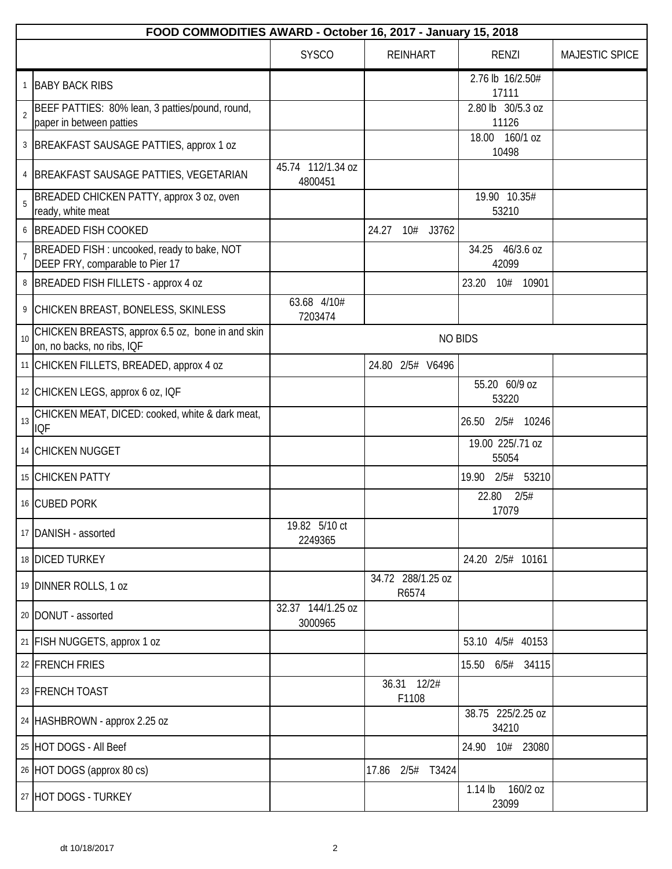|                | FOOD COMMODITIES AWARD - October 16, 2017 - January 15, 2018                   |                              |                            |                                |                |  |
|----------------|--------------------------------------------------------------------------------|------------------------------|----------------------------|--------------------------------|----------------|--|
|                |                                                                                | <b>SYSCO</b>                 | <b>REINHART</b>            | <b>RENZI</b>                   | MAJESTIC SPICE |  |
|                | 1 BABY BACK RIBS                                                               |                              |                            | 2.76 lb 16/2.50#<br>17111      |                |  |
| $\overline{2}$ | BEEF PATTIES: 80% lean, 3 patties/pound, round,<br>paper in between patties    |                              |                            | 2.80 lb 30/5.3 oz<br>11126     |                |  |
|                | 3   BREAKFAST SAUSAGE PATTIES, approx 1 oz                                     |                              |                            | 18.00 160/1 oz<br>10498        |                |  |
|                | 4 BREAKFAST SAUSAGE PATTIES, VEGETARIAN                                        | 45.74 112/1.34 oz<br>4800451 |                            |                                |                |  |
| 5              | BREADED CHICKEN PATTY, approx 3 oz, oven<br>ready, white meat                  |                              |                            | 19.90 10.35#<br>53210          |                |  |
|                | 6 BREADED FISH COOKED                                                          |                              | 24.27<br>10# J3762         |                                |                |  |
| $\overline{7}$ | BREADED FISH : uncooked, ready to bake, NOT<br>DEEP FRY, comparable to Pier 17 |                              |                            | 34.25 46/3.6 oz<br>42099       |                |  |
|                | 8 BREADED FISH FILLETS - approx 4 oz                                           |                              |                            | 10# 10901<br>23.20             |                |  |
|                | 9 CHICKEN BREAST, BONELESS, SKINLESS                                           | 63.68 4/10#<br>7203474       |                            |                                |                |  |
| 10             | CHICKEN BREASTS, approx 6.5 oz, bone in and skin<br>on, no backs, no ribs, IQF |                              |                            | <b>NO BIDS</b>                 |                |  |
|                | 11 CHICKEN FILLETS, BREADED, approx 4 oz                                       |                              | 24.80 2/5# V6496           |                                |                |  |
|                | 12 CHICKEN LEGS, approx 6 oz, IQF                                              |                              |                            | 55.20 60/9 oz<br>53220         |                |  |
| 13             | CHICKEN MEAT, DICED: cooked, white & dark meat,<br><b>IQF</b>                  |                              |                            | 2/5# 10246<br>26.50            |                |  |
|                | 14 CHICKEN NUGGET                                                              |                              |                            | 19.00 225/.71 oz<br>55054      |                |  |
|                | 15 CHICKEN PATTY                                                               |                              |                            | 2/5# 53210<br>19.90            |                |  |
|                | 16 CUBED PORK                                                                  |                              |                            | 2/5#<br>22.80<br>17079         |                |  |
|                | 17 DANISH - assorted                                                           | 19.82 5/10 ct<br>2249365     |                            |                                |                |  |
|                | 18 DICED TURKEY                                                                |                              |                            | 24.20 2/5# 10161               |                |  |
|                | 19 DINNER ROLLS, 1 oz                                                          |                              | 34.72 288/1.25 oz<br>R6574 |                                |                |  |
|                | 20   DONUT - assorted                                                          | 32.37 144/1.25 oz<br>3000965 |                            |                                |                |  |
|                | 21 FISH NUGGETS, approx 1 oz                                                   |                              |                            | 53.10 4/5# 40153               |                |  |
|                | 22 FRENCH FRIES                                                                |                              |                            | $6/5#$ 34115<br>15.50          |                |  |
|                | 23 FRENCH TOAST                                                                |                              | 36.31 12/2#<br>F1108       |                                |                |  |
|                | 24 HASHBROWN - approx 2.25 oz                                                  |                              |                            | 38.75 225/2.25 oz<br>34210     |                |  |
|                | 25 HOT DOGS - All Beef                                                         |                              |                            | 10# 23080<br>24.90             |                |  |
|                | 26 HOT DOGS (approx 80 cs)                                                     |                              | 17.86 2/5#<br>T3424        |                                |                |  |
|                | 27 HOT DOGS - TURKEY                                                           |                              |                            | 160/2 oz<br>$1.14$ lb<br>23099 |                |  |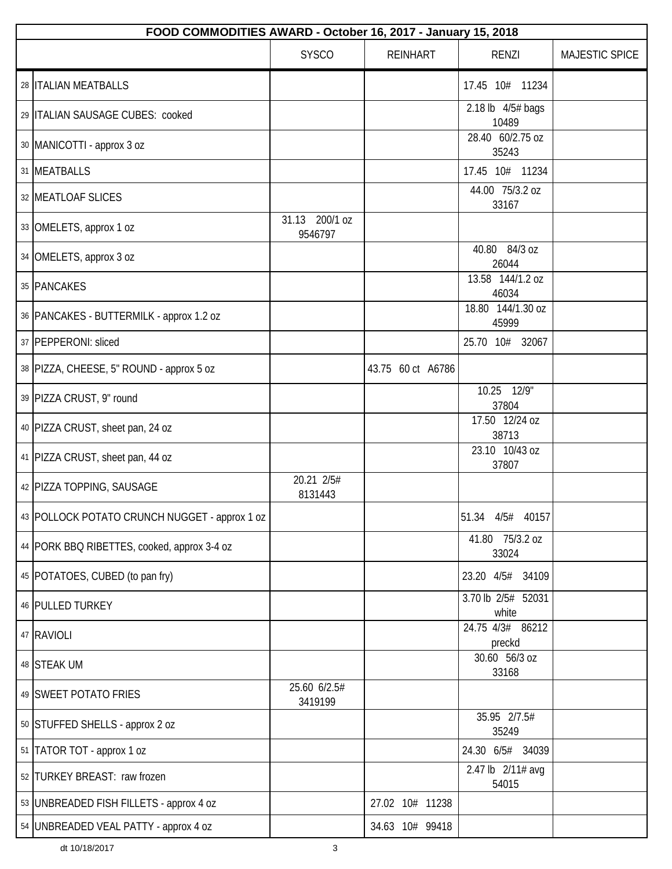| FOOD COMMODITIES AWARD - October 16, 2017 - January 15, 2018 |                           |                   |                             |                |  |  |
|--------------------------------------------------------------|---------------------------|-------------------|-----------------------------|----------------|--|--|
|                                                              | <b>SYSCO</b>              | <b>REINHART</b>   | <b>RENZI</b>                | MAJESTIC SPICE |  |  |
| 28   ITALIAN MEATBALLS                                       |                           |                   | 17.45 10# 11234             |                |  |  |
| 29 ITALIAN SAUSAGE CUBES: cooked                             |                           |                   | 2.18 lb 4/5# bags<br>10489  |                |  |  |
| 30 MANICOTTI - approx 3 oz                                   |                           |                   | 28.40 60/2.75 oz<br>35243   |                |  |  |
| 31 MEATBALLS                                                 |                           |                   | 17.45 10# 11234             |                |  |  |
| 32 MEATLOAF SLICES                                           |                           |                   | 44.00 75/3.2 oz<br>33167    |                |  |  |
| 33 OMELETS, approx 1 oz                                      | 31.13 200/1 oz<br>9546797 |                   |                             |                |  |  |
| 34 OMELETS, approx 3 oz                                      |                           |                   | 40.80 84/3 oz<br>26044      |                |  |  |
| 35 PANCAKES                                                  |                           |                   | 13.58 144/1.2 oz<br>46034   |                |  |  |
| 36   PANCAKES - BUTTERMILK - approx 1.2 oz                   |                           |                   | 18.80 144/1.30 oz<br>45999  |                |  |  |
| 37 PEPPERONI: sliced                                         |                           |                   | 25.70 10# 32067             |                |  |  |
| 38   PIZZA, CHEESE, 5" ROUND - approx 5 oz                   |                           | 43.75 60 ct A6786 |                             |                |  |  |
| 39 PIZZA CRUST, 9" round                                     |                           |                   | 10.25 12/9"<br>37804        |                |  |  |
| 40 PIZZA CRUST, sheet pan, 24 oz                             |                           |                   | 17.50 12/24 oz<br>38713     |                |  |  |
| 41 PIZZA CRUST, sheet pan, 44 oz                             |                           |                   | 23.10 10/43 oz<br>37807     |                |  |  |
| 42 PIZZA TOPPING, SAUSAGE                                    | 20.21 2/5#<br>8131443     |                   |                             |                |  |  |
| 43 POLLOCK POTATO CRUNCH NUGGET - approx 1 oz                |                           |                   | 51.34 4/5# 40157            |                |  |  |
| 44   PORK BBQ RIBETTES, cooked, approx 3-4 oz                |                           |                   | 41.80 75/3.2 oz<br>33024    |                |  |  |
| 45 POTATOES, CUBED (to pan fry)                              |                           |                   | 23.20 4/5# 34109            |                |  |  |
| 46 PULLED TURKEY                                             |                           |                   | 3.70 lb 2/5# 52031<br>white |                |  |  |
| 47 RAVIOLI                                                   |                           |                   | 24.75 4/3# 86212<br>preckd  |                |  |  |
| 48 STEAK UM                                                  |                           |                   | 30.60 56/3 oz<br>33168      |                |  |  |
| 49 SWEET POTATO FRIES                                        | 25.60 6/2.5#<br>3419199   |                   |                             |                |  |  |
| 50 STUFFED SHELLS - approx 2 oz                              |                           |                   | 35.95 2/7.5#<br>35249       |                |  |  |
| 51 TATOR TOT - approx 1 oz                                   |                           |                   | 24.30 6/5# 34039            |                |  |  |
| 52 TURKEY BREAST: raw frozen                                 |                           |                   | 2.47 lb 2/11# avg<br>54015  |                |  |  |
| 53   UNBREADED FISH FILLETS - approx 4 oz                    |                           | 27.02 10# 11238   |                             |                |  |  |
| 54   UNBREADED VEAL PATTY - approx 4 oz                      |                           | 34.63 10# 99418   |                             |                |  |  |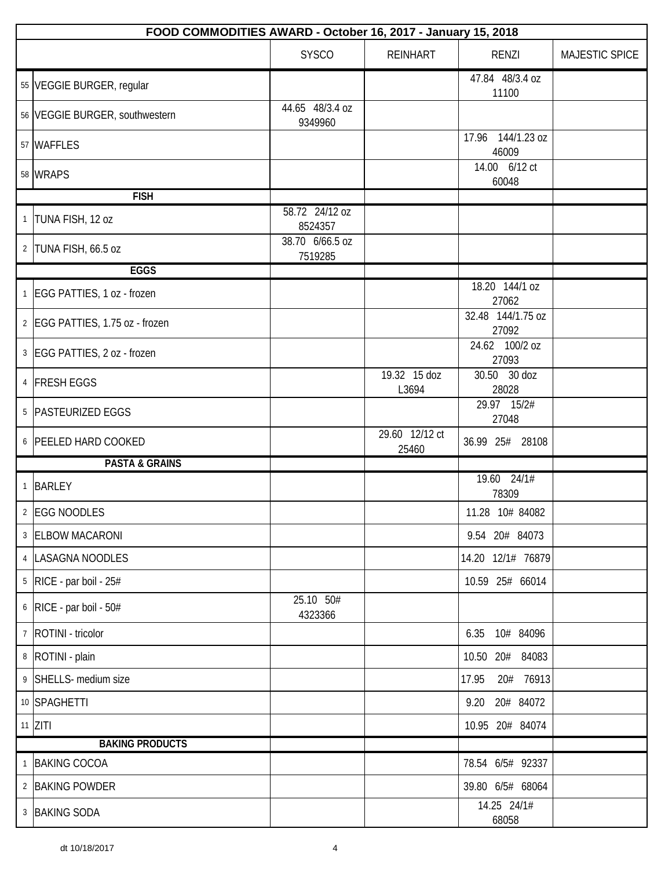|              | FOOD COMMODITIES AWARD - October 16, 2017 - January 15, 2018 |                            |                         |                            |                |  |  |
|--------------|--------------------------------------------------------------|----------------------------|-------------------------|----------------------------|----------------|--|--|
|              |                                                              | <b>SYSCO</b>               | <b>REINHART</b>         | <b>RENZI</b>               | MAJESTIC SPICE |  |  |
|              | 55 VEGGIE BURGER, regular                                    |                            |                         | 47.84 48/3.4 oz<br>11100   |                |  |  |
|              | 56 VEGGIE BURGER, southwestern                               | 44.65 48/3.4 oz<br>9349960 |                         |                            |                |  |  |
|              | 57 WAFFLES                                                   |                            |                         | 17.96 144/1.23 oz<br>46009 |                |  |  |
|              | 58 WRAPS                                                     |                            |                         | 14.00 6/12 ct<br>60048     |                |  |  |
|              | <b>FISH</b>                                                  |                            |                         |                            |                |  |  |
|              | 1 TUNA FISH, 12 oz                                           | 58.72 24/12 oz<br>8524357  |                         |                            |                |  |  |
|              | 2 TUNA FISH, 66.5 oz                                         | 38.70 6/66.5 oz<br>7519285 |                         |                            |                |  |  |
|              | <b>EGGS</b>                                                  |                            |                         |                            |                |  |  |
|              | 1 EGG PATTIES, 1 oz - frozen                                 |                            |                         | 18.20 144/1 oz<br>27062    |                |  |  |
|              | 2 EGG PATTIES, 1.75 oz - frozen                              |                            |                         | 32.48 144/1.75 oz<br>27092 |                |  |  |
|              | 3 EGG PATTIES, 2 oz - frozen                                 |                            |                         | 24.62 100/2 oz<br>27093    |                |  |  |
|              | 4 FRESH EGGS                                                 |                            | 19.32 15 doz<br>L3694   | 30.50 30 doz<br>28028      |                |  |  |
|              | 5   PASTEURIZED EGGS                                         |                            |                         | 29.97 15/2#<br>27048       |                |  |  |
|              | 6 PEELED HARD COOKED                                         |                            | 29.60 12/12 ct<br>25460 | 36.99 25# 28108            |                |  |  |
|              | <b>PASTA &amp; GRAINS</b>                                    |                            |                         |                            |                |  |  |
| $\mathbf{1}$ | <b>BARLEY</b>                                                |                            |                         | 19.60 24/1#<br>78309       |                |  |  |
|              | 2 EGG NOODLES                                                |                            |                         | 11.28 10# 84082            |                |  |  |
|              | 3 ELBOW MACARONI                                             |                            |                         | 9.54 20# 84073             |                |  |  |
|              | 4   LASAGNA NOODLES                                          |                            |                         | 14.20 12/1# 76879          |                |  |  |
|              | $5$ RICE - par boil - 25#                                    |                            |                         | 10.59 25# 66014            |                |  |  |
|              | $6$ RICE - par boil - 50#                                    | 25.10 50#<br>4323366       |                         |                            |                |  |  |
|              | 7   ROTINI - tricolor                                        |                            |                         | 6.35 10# 84096             |                |  |  |
|              | 8   ROTINI - plain                                           |                            |                         | 10.50 20# 84083            |                |  |  |
|              | 9 SHELLS- medium size                                        |                            |                         | 20# 76913<br>17.95         |                |  |  |
|              | 10 SPAGHETTI                                                 |                            |                         | 9.20 20# 84072             |                |  |  |
|              | $11$ ZITI                                                    |                            |                         | 10.95 20# 84074            |                |  |  |
|              | <b>BAKING PRODUCTS</b>                                       |                            |                         |                            |                |  |  |
| $\mathbf{1}$ | <b>BAKING COCOA</b>                                          |                            |                         | 78.54 6/5# 92337           |                |  |  |
|              | 2 BAKING POWDER                                              |                            |                         | 39.80 6/5# 68064           |                |  |  |
|              | 3 BAKING SODA                                                |                            |                         | 14.25 24/1#<br>68058       |                |  |  |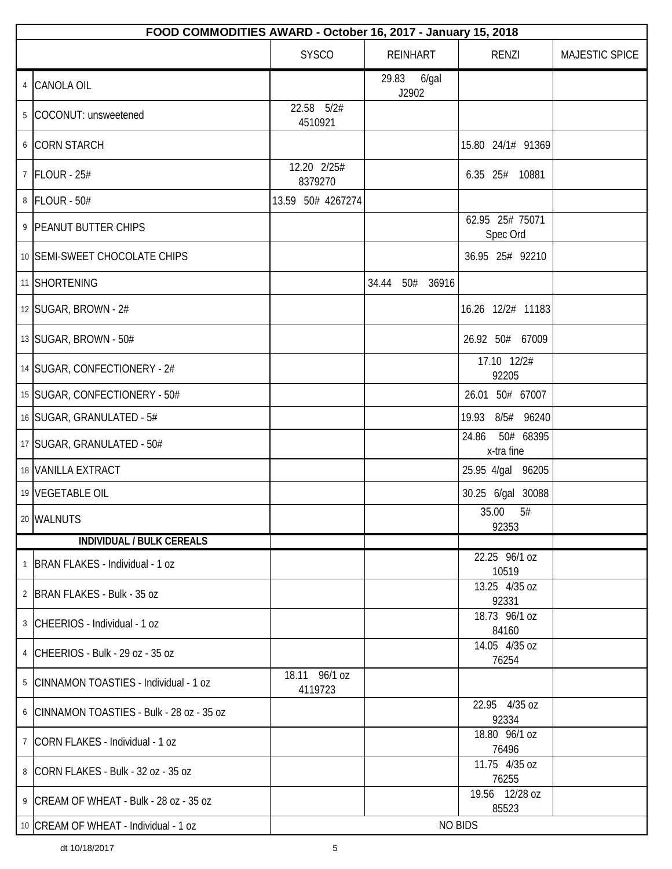|   | FOOD COMMODITIES AWARD - October 16, 2017 - January 15, 2018 |                          |                      |                                  |                |  |
|---|--------------------------------------------------------------|--------------------------|----------------------|----------------------------------|----------------|--|
|   |                                                              | <b>SYSCO</b>             | <b>REINHART</b>      | RENZI                            | MAJESTIC SPICE |  |
| 4 | <b>CANOLA OIL</b>                                            |                          | 29.83 6/gal<br>J2902 |                                  |                |  |
|   | 5 COCONUT: unsweetened                                       | 22.58 5/2#<br>4510921    |                      |                                  |                |  |
|   | 6 CORN STARCH                                                |                          |                      | 15.80 24/1# 91369                |                |  |
|   | 7   FLOUR - 25#                                              | 12.20 2/25#<br>8379270   |                      | 6.35 25# 10881                   |                |  |
|   | 8   FLOUR - 50#                                              | 13.59 50# 4267274        |                      |                                  |                |  |
|   | 9 PEANUT BUTTER CHIPS                                        |                          |                      | 62.95 25# 75071<br>Spec Ord      |                |  |
|   | 10 SEMI-SWEET CHOCOLATE CHIPS                                |                          |                      | 36.95 25# 92210                  |                |  |
|   | 11 SHORTENING                                                |                          | 34.44 50# 36916      |                                  |                |  |
|   | 12 SUGAR, BROWN - 2#                                         |                          |                      | 16.26 12/2# 11183                |                |  |
|   | 13 SUGAR, BROWN - 50#                                        |                          |                      | 26.92 50# 67009                  |                |  |
|   | 14 SUGAR, CONFECTIONERY - 2#                                 |                          |                      | 17.10 12/2#<br>92205             |                |  |
|   | 15 SUGAR, CONFECTIONERY - 50#                                |                          |                      | 26.01 50# 67007                  |                |  |
|   | 16 SUGAR, GRANULATED - 5#                                    |                          |                      | 19.93 8/5# 96240                 |                |  |
|   | 17   SUGAR, GRANULATED - 50#                                 |                          |                      | 50# 68395<br>24.86<br>x-tra fine |                |  |
|   | 18 VANILLA EXTRACT                                           |                          |                      | 25.95 4/gal 96205                |                |  |
|   | 19 VEGETABLE OIL                                             |                          |                      | 30.25 6/gal 30088                |                |  |
|   | 20 WALNUTS                                                   |                          |                      | 35.00<br>5#<br>92353             |                |  |
|   | <b>INDIVIDUAL / BULK CEREALS</b>                             |                          |                      |                                  |                |  |
|   | 1   BRAN FLAKES - Individual - 1 oz                          |                          |                      | 22.25 96/1 oz<br>10519           |                |  |
|   | 2 BRAN FLAKES - Bulk - 35 oz                                 |                          |                      | 13.25 4/35 oz<br>92331           |                |  |
|   | 3 CHEERIOS - Individual - 1 oz                               |                          |                      | 18.73 96/1 oz<br>84160           |                |  |
|   | 4 CHEERIOS - Bulk - 29 oz - 35 oz                            |                          |                      | 14.05 4/35 oz<br>76254           |                |  |
|   | 5 CINNAMON TOASTIES - Individual - 1 oz                      | 18.11 96/1 oz<br>4119723 |                      |                                  |                |  |
|   | 6 CINNAMON TOASTIES - Bulk - 28 oz - 35 oz                   |                          |                      | 22.95 4/35 oz<br>92334           |                |  |
|   | 7 CORN FLAKES - Individual - 1 oz                            |                          |                      | 18.80 96/1 oz<br>76496           |                |  |
|   | 8 CORN FLAKES - Bulk - 32 oz - 35 oz                         |                          |                      | 11.75 4/35 oz<br>76255           |                |  |
|   | 9 CREAM OF WHEAT - Bulk - 28 oz - 35 oz                      |                          |                      | 19.56 12/28 oz                   |                |  |
|   | 10 CREAM OF WHEAT - Individual - 1 oz                        |                          |                      | 85523<br><b>NO BIDS</b>          |                |  |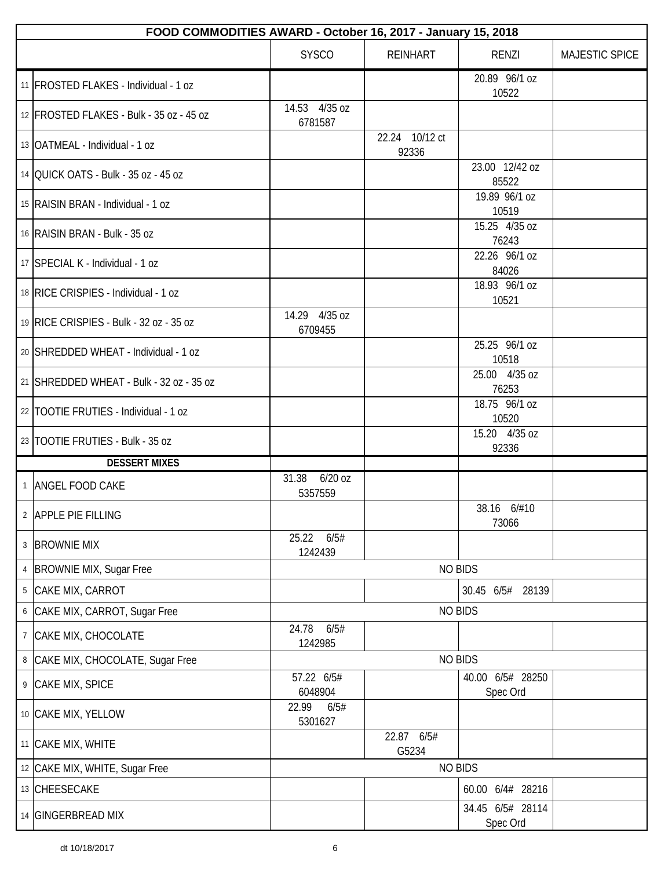|   | FOOD COMMODITIES AWARD - October 16, 2017 - January 15, 2018 |                               |                         |                              |                |  |  |
|---|--------------------------------------------------------------|-------------------------------|-------------------------|------------------------------|----------------|--|--|
|   |                                                              | <b>SYSCO</b>                  | <b>REINHART</b>         | RENZI                        | MAJESTIC SPICE |  |  |
|   | 11   FROSTED FLAKES - Individual - 1 oz                      |                               |                         | 20.89 96/1 oz<br>10522       |                |  |  |
|   | 12 FROSTED FLAKES - Bulk - 35 oz - 45 oz                     | 14.53 4/35 oz<br>6781587      |                         |                              |                |  |  |
|   | 13 OATMEAL - Individual - 1 oz                               |                               | 22.24 10/12 ct<br>92336 |                              |                |  |  |
|   | 14 OUICK OATS - Bulk - 35 oz - 45 oz                         |                               |                         | 23.00 12/42 oz<br>85522      |                |  |  |
|   | 15 RAISIN BRAN - Individual - 1 oz                           |                               |                         | 19.89 96/1 oz<br>10519       |                |  |  |
|   | 16 RAISIN BRAN - Bulk - 35 oz                                |                               |                         | 15.25 4/35 oz<br>76243       |                |  |  |
|   | 17 SPECIAL K - Individual - 1 oz                             |                               |                         | 22.26 96/1 oz<br>84026       |                |  |  |
|   | 18 RICE CRISPIES - Individual - 1 oz                         |                               |                         | 18.93 96/1 oz<br>10521       |                |  |  |
|   | 19 RICE CRISPIES - Bulk - 32 oz - 35 oz                      | 14.29 4/35 oz<br>6709455      |                         |                              |                |  |  |
|   | 20 SHREDDED WHEAT - Individual - 1 oz                        |                               |                         | 25.25 96/1 oz<br>10518       |                |  |  |
|   | 21 SHREDDED WHEAT - Bulk - 32 oz - 35 oz                     |                               |                         | 25.00 4/35 oz<br>76253       |                |  |  |
|   | 22   TOOTIE FRUTIES - Individual - 1 oz                      |                               |                         | 18.75 96/1 oz<br>10520       |                |  |  |
|   | 23 TOOTIE FRUTIES - Bulk - 35 oz                             |                               |                         | 15.20 4/35 oz<br>92336       |                |  |  |
|   | <b>DESSERT MIXES</b>                                         |                               |                         |                              |                |  |  |
|   | 1 ANGEL FOOD CAKE                                            | 31.38<br>$6/20$ oz<br>5357559 |                         |                              |                |  |  |
|   | 2 APPLE PIE FILLING                                          |                               |                         | 38.16 6/#10<br>73066         |                |  |  |
|   | 3 BROWNIE MIX                                                | 6/5#<br>25.22<br>1242439      |                         |                              |                |  |  |
|   | 4   BROWNIE MIX, Sugar Free                                  |                               |                         | <b>NO BIDS</b>               |                |  |  |
| 5 | CAKE MIX, CARROT                                             |                               |                         | 30.45 6/5# 28139             |                |  |  |
|   | 6 CAKE MIX, CARROT, Sugar Free                               |                               |                         | <b>NO BIDS</b>               |                |  |  |
|   | 7 CAKE MIX, CHOCOLATE                                        | 24.78<br>6/5#<br>1242985      |                         |                              |                |  |  |
| 8 | CAKE MIX, CHOCOLATE, Sugar Free                              |                               |                         | <b>NO BIDS</b>               |                |  |  |
|   | 9 CAKE MIX, SPICE                                            | 57.22 6/5#<br>6048904         |                         | 40.00 6/5# 28250<br>Spec Ord |                |  |  |
|   | 10 CAKE MIX, YELLOW                                          | 22.99<br>6/5#<br>5301627      |                         |                              |                |  |  |
|   | 11 CAKE MIX, WHITE                                           |                               | 22.87 6/5#<br>G5234     |                              |                |  |  |
|   | 12 CAKE MIX, WHITE, Sugar Free                               |                               |                         | <b>NO BIDS</b>               |                |  |  |
|   | 13 CHEESECAKE                                                |                               |                         | 60.00 6/4# 28216             |                |  |  |
|   | 14 GINGERBREAD MIX                                           |                               |                         | 34.45 6/5# 28114<br>Spec Ord |                |  |  |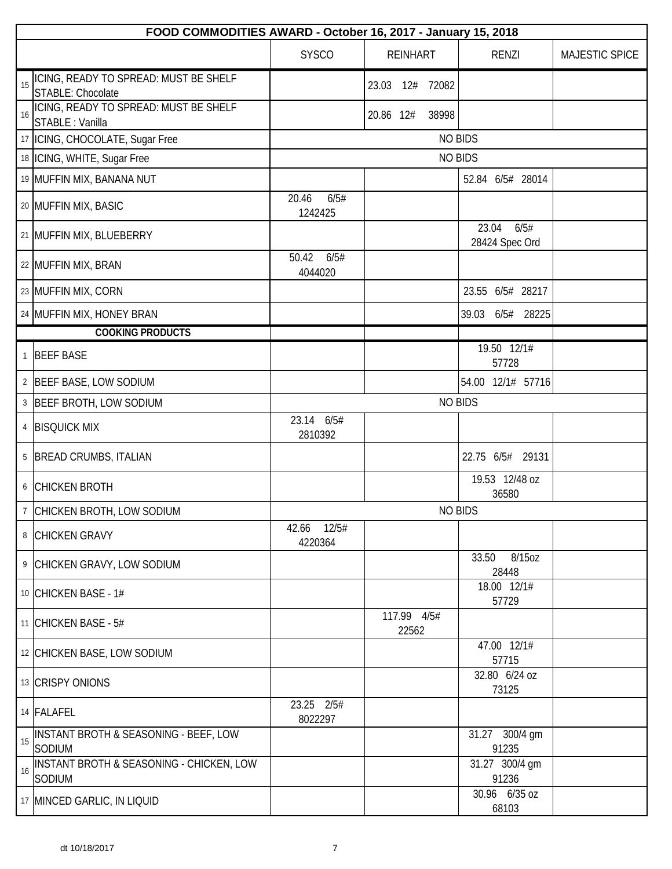|    | FOOD COMMODITIES AWARD - October 16, 2017 - January 15, 2018      |                          |                      |                                 |                |  |
|----|-------------------------------------------------------------------|--------------------------|----------------------|---------------------------------|----------------|--|
|    |                                                                   | <b>SYSCO</b>             | <b>REINHART</b>      | <b>RENZI</b>                    | MAJESTIC SPICE |  |
|    | ICING, READY TO SPREAD: MUST BE SHELF<br><b>STABLE: Chocolate</b> |                          | 72082<br>23.03 12#   |                                 |                |  |
| 16 | ICING, READY TO SPREAD: MUST BE SHELF<br>STABLE : Vanilla         |                          | 20.86 12#<br>38998   |                                 |                |  |
|    | 17   ICING, CHOCOLATE, Sugar Free                                 |                          |                      | <b>NO BIDS</b>                  |                |  |
|    | 18   ICING, WHITE, Sugar Free                                     |                          |                      | <b>NO BIDS</b>                  |                |  |
|    | 19 MUFFIN MIX, BANANA NUT                                         |                          |                      | 52.84 6/5# 28014                |                |  |
|    | 20 MUFFIN MIX, BASIC                                              | 6/5#<br>20.46<br>1242425 |                      |                                 |                |  |
|    | 21 MUFFIN MIX, BLUEBERRY                                          |                          |                      | 23.04<br>6/5#<br>28424 Spec Ord |                |  |
|    | 22 MUFFIN MIX, BRAN                                               | 50.42<br>6/5#<br>4044020 |                      |                                 |                |  |
|    | 23 MUFFIN MIX, CORN                                               |                          |                      | 23.55 6/5# 28217                |                |  |
|    | 24 MUFFIN MIX, HONEY BRAN                                         |                          |                      | 39.03 6/5# 28225                |                |  |
|    | <b>COOKING PRODUCTS</b>                                           |                          |                      |                                 |                |  |
|    | 1 BEEF BASE                                                       |                          |                      | 19.50 12/1#<br>57728            |                |  |
|    | 2 BEEF BASE, LOW SODIUM                                           |                          |                      | 54.00 12/1# 57716               |                |  |
|    | 3 BEEF BROTH, LOW SODIUM                                          |                          |                      | <b>NO BIDS</b>                  |                |  |
|    | 4 BISQUICK MIX                                                    | 23.14 6/5#<br>2810392    |                      |                                 |                |  |
|    | 5 BREAD CRUMBS, ITALIAN                                           |                          |                      | 22.75 6/5# 29131                |                |  |
|    | 6 CHICKEN BROTH                                                   |                          |                      | 19.53 12/48 oz<br>36580         |                |  |
|    | 7 CHICKEN BROTH, LOW SODIUM                                       |                          |                      | <b>NO BIDS</b>                  |                |  |
|    | 8 CHICKEN GRAVY                                                   | 42.66 12/5#<br>4220364   |                      |                                 |                |  |
|    | 9 CHICKEN GRAVY, LOW SODIUM                                       |                          |                      | 8/15oz<br>33.50<br>28448        |                |  |
|    | 10 CHICKEN BASE - 1#                                              |                          |                      | 18.00 12/1#<br>57729            |                |  |
|    | 11 CHICKEN BASE - $5#$                                            |                          | 117.99 4/5#<br>22562 |                                 |                |  |
|    | 12 CHICKEN BASE, LOW SODIUM                                       |                          |                      | 47.00 12/1#<br>57715            |                |  |
|    | 13 CRISPY ONIONS                                                  |                          |                      | 32.80 6/24 oz<br>73125          |                |  |
|    | 14 FALAFEL                                                        | 23.25 2/5#<br>8022297    |                      |                                 |                |  |
| 15 | INSTANT BROTH & SEASONING - BEEF, LOW<br>SODIUM                   |                          |                      | 31.27 300/4 gm<br>91235         |                |  |
| 16 | INSTANT BROTH & SEASONING - CHICKEN, LOW<br>SODIUM                |                          |                      | 31.27 300/4 gm<br>91236         |                |  |
|    | 17 MINCED GARLIC, IN LIQUID                                       |                          |                      | 30.96 6/35 oz<br>68103          |                |  |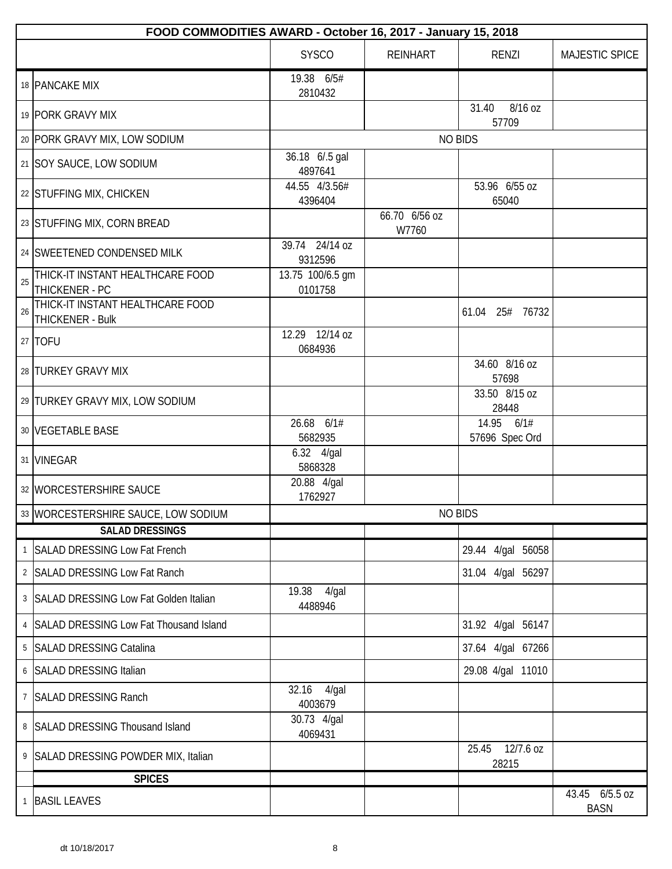|    | FOOD COMMODITIES AWARD - October 16, 2017 - January 15, 2018 |                              |                        |                              |                               |  |  |
|----|--------------------------------------------------------------|------------------------------|------------------------|------------------------------|-------------------------------|--|--|
|    |                                                              | <b>SYSCO</b>                 | <b>REINHART</b>        | <b>RENZI</b>                 | MAJESTIC SPICE                |  |  |
|    | 18 PANCAKE MIX                                               | 19.38 6/5#<br>2810432        |                        |                              |                               |  |  |
|    | 19 PORK GRAVY MIX                                            |                              |                        | 8/16 oz<br>31.40<br>57709    |                               |  |  |
|    | 20 PORK GRAVY MIX, LOW SODIUM                                |                              |                        | <b>NO BIDS</b>               |                               |  |  |
|    | 21 SOY SAUCE, LOW SODIUM                                     | 36.18 6/.5 gal<br>4897641    |                        |                              |                               |  |  |
|    | 22 STUFFING MIX, CHICKEN                                     | 44.55 4/3.56#<br>4396404     |                        | 53.96 6/55 oz<br>65040       |                               |  |  |
|    | 23 STUFFING MIX, CORN BREAD                                  |                              | 66.70 6/56 oz<br>W7760 |                              |                               |  |  |
|    | 24 SWEETENED CONDENSED MILK                                  | 39.74 24/14 oz<br>9312596    |                        |                              |                               |  |  |
| 25 | THICK-IT INSTANT HEALTHCARE FOOD<br>THICKENER - PC           | 13.75 100/6.5 gm<br>0101758  |                        |                              |                               |  |  |
| 26 | THICK-IT INSTANT HEALTHCARE FOOD<br>THICKENER - Bulk         |                              |                        | 61.04 25# 76732              |                               |  |  |
|    | 27 TOFU                                                      | 12.29 12/14 oz<br>0684936    |                        |                              |                               |  |  |
|    | 28 TURKEY GRAVY MIX                                          |                              |                        | 34.60 8/16 oz<br>57698       |                               |  |  |
|    | 29 TURKEY GRAVY MIX, LOW SODIUM                              |                              |                        | 33.50 8/15 oz<br>28448       |                               |  |  |
|    | 30 VEGETABLE BASE                                            | 26.68 6/1#<br>5682935        |                        | 14.95 6/1#<br>57696 Spec Ord |                               |  |  |
|    | 31 VINEGAR                                                   | 6.32 4/gal<br>5868328        |                        |                              |                               |  |  |
|    | 32 WORCESTERSHIRE SAUCE                                      | 20.88 4/gal<br>1762927       |                        |                              |                               |  |  |
|    | 33 WORCESTERSHIRE SAUCE, LOW SODIUM                          |                              |                        | <b>NO BIDS</b>               |                               |  |  |
|    | <b>SALAD DRESSINGS</b>                                       |                              |                        |                              |                               |  |  |
|    | 1 SALAD DRESSING Low Fat French                              |                              |                        | 29.44 4/gal 56058            |                               |  |  |
|    | 2 SALAD DRESSING Low Fat Ranch                               |                              |                        | 31.04 4/gal 56297            |                               |  |  |
|    | 3 SALAD DRESSING Low Fat Golden Italian                      | 19.38<br>$4$ /gal<br>4488946 |                        |                              |                               |  |  |
|    | 4 SALAD DRESSING Low Fat Thousand Island                     |                              |                        | 31.92 4/gal 56147            |                               |  |  |
|    | 5   SALAD DRESSING Catalina                                  |                              |                        | 37.64 4/gal 67266            |                               |  |  |
|    | 6 SALAD DRESSING Italian                                     |                              |                        | 29.08 4/gal 11010            |                               |  |  |
| 7  | <b>SALAD DRESSING Ranch</b>                                  | 32.16<br>4/gal<br>4003679    |                        |                              |                               |  |  |
|    | 8 SALAD DRESSING Thousand Island                             | 30.73 4/gal<br>4069431       |                        |                              |                               |  |  |
|    | 9 SALAD DRESSING POWDER MIX, Italian                         |                              |                        | 12/7.6 oz<br>25.45<br>28215  |                               |  |  |
|    | <b>SPICES</b>                                                |                              |                        |                              |                               |  |  |
|    | 1 BASIL LEAVES                                               |                              |                        |                              | 43.45 6/5.5 oz<br><b>BASN</b> |  |  |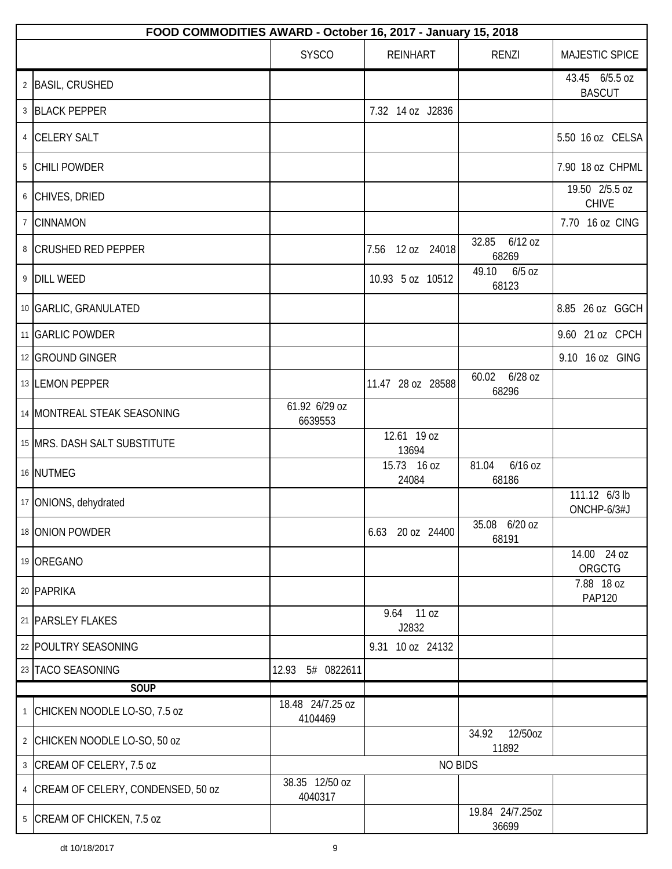| FOOD COMMODITIES AWARD - October 16, 2017 - January 15, 2018 |                             |                        |                             |                                 |  |  |
|--------------------------------------------------------------|-----------------------------|------------------------|-----------------------------|---------------------------------|--|--|
|                                                              | <b>SYSCO</b>                | <b>REINHART</b>        | RENZI                       | MAJESTIC SPICE                  |  |  |
| 2 BASIL, CRUSHED                                             |                             |                        |                             | 43.45 6/5.5 oz<br><b>BASCUT</b> |  |  |
| 3 BLACK PEPPER                                               |                             | 7.32 14 oz J2836       |                             |                                 |  |  |
| 4 CELERY SALT                                                |                             |                        |                             | 5.50 16 oz CELSA                |  |  |
| 5 CHILI POWDER                                               |                             |                        |                             | 7.90 18 oz CHPML                |  |  |
| 6 CHIVES, DRIED                                              |                             |                        |                             | 19.50 2/5.5 oz<br><b>CHIVE</b>  |  |  |
| 7 CINNAMON                                                   |                             |                        |                             | 7.70 16 oz CING                 |  |  |
| 8 CRUSHED RED PEPPER                                         |                             | 12 oz 24018<br>7.56    | 32.85<br>6/12 oz<br>68269   |                                 |  |  |
| 9 DILL WEED                                                  |                             | 10.93 5 oz 10512       | 49.10<br>$6/5$ oz<br>68123  |                                 |  |  |
| 10 GARLIC, GRANULATED                                        |                             |                        |                             | 8.85 26 oz GGCH                 |  |  |
| 11 GARLIC POWDER                                             |                             |                        |                             | 9.60 21 oz CPCH                 |  |  |
| 12 GROUND GINGER                                             |                             |                        |                             | 9.10 16 oz GING                 |  |  |
| 13 LEMON PEPPER                                              |                             | 11.47 28 oz 28588      | 6/28 oz<br>60.02<br>68296   |                                 |  |  |
| 14 MONTREAL STEAK SEASONING                                  | 61.92 6/29 oz<br>6639553    |                        |                             |                                 |  |  |
| 15 MRS. DASH SALT SUBSTITUTE                                 |                             | 12.61 19 oz<br>13694   |                             |                                 |  |  |
| 16 NUTMEG                                                    |                             | 15.73 16 oz<br>24084   | $6/16$ oz<br>81.04<br>68186 |                                 |  |  |
| 17 ONIONS, dehydrated                                        |                             |                        |                             | 111.12 6/3 lb<br>ONCHP-6/3#J    |  |  |
| 18 ONION POWDER                                              |                             | 20 oz 24400<br>6.63    | 35.08 6/20 oz<br>68191      |                                 |  |  |
| 19 OREGANO                                                   |                             |                        |                             | 14.00 24 oz<br>ORGCTG           |  |  |
| 20 PAPRIKA                                                   |                             |                        |                             | 7.88 18 oz<br><b>PAP120</b>     |  |  |
| 21   PARSLEY FLAKES                                          |                             | 11 oz<br>9.64<br>J2832 |                             |                                 |  |  |
| 22 POULTRY SEASONING                                         |                             | 9.31 10 oz 24132       |                             |                                 |  |  |
| 23 TACO SEASONING                                            | 5# 0822611<br>12.93         |                        |                             |                                 |  |  |
| SOUP                                                         |                             |                        |                             |                                 |  |  |
| <sup>1</sup> CHICKEN NOODLE LO-SO, 7.5 oz                    | 18.48 24/7.25 oz<br>4104469 |                        |                             |                                 |  |  |
| 2 CHICKEN NOODLE LO-SO, 50 oz                                |                             |                        | 12/50oz<br>34.92<br>11892   |                                 |  |  |
| 3 CREAM OF CELERY, 7.5 oz                                    |                             | <b>NO BIDS</b>         |                             |                                 |  |  |
| 4 CREAM OF CELERY, CONDENSED, 50 oz                          | 38.35 12/50 oz<br>4040317   |                        |                             |                                 |  |  |
| 5 CREAM OF CHICKEN, 7.5 oz                                   |                             |                        | 19.84 24/7.25oz<br>36699    |                                 |  |  |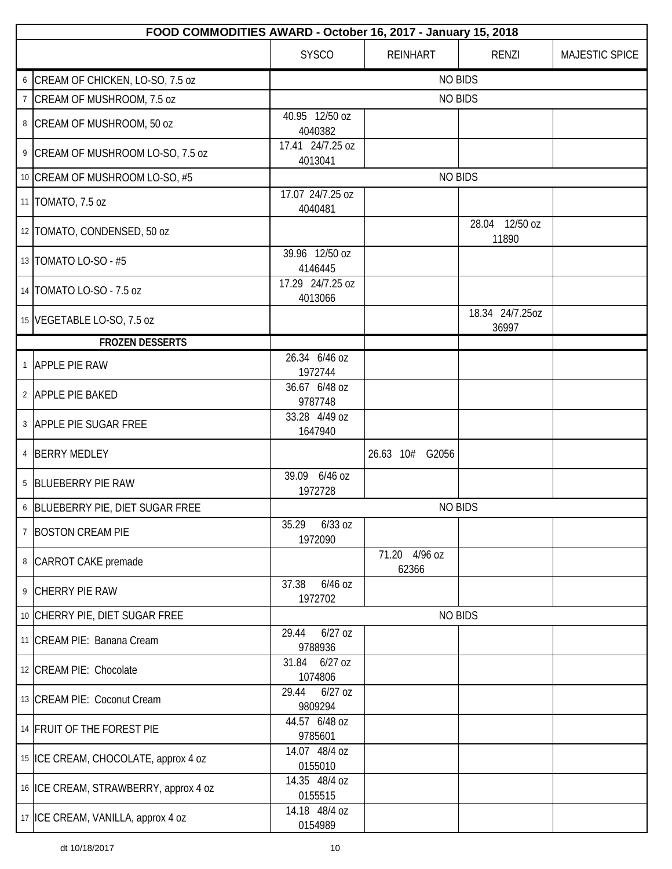|                | FOOD COMMODITIES AWARD - October 16, 2017 - January 15, 2018 |                               |                        |                          |                |  |  |
|----------------|--------------------------------------------------------------|-------------------------------|------------------------|--------------------------|----------------|--|--|
|                |                                                              | <b>SYSCO</b>                  | <b>REINHART</b>        | <b>RENZI</b>             | MAJESTIC SPICE |  |  |
|                | 6 CREAM OF CHICKEN, LO-SO, 7.5 oz                            |                               | <b>NO BIDS</b>         |                          |                |  |  |
|                | <sup>7</sup> CREAM OF MUSHROOM, 7.5 oz                       |                               | <b>NO BIDS</b>         |                          |                |  |  |
|                | 8 CREAM OF MUSHROOM, 50 oz                                   | 40.95 12/50 oz<br>4040382     |                        |                          |                |  |  |
|                | 9 CREAM OF MUSHROOM LO-SO, 7.5 oz                            | 17.41 24/7.25 oz<br>4013041   |                        |                          |                |  |  |
|                | 10 CREAM OF MUSHROOM LO-SO, #5                               |                               | <b>NO BIDS</b>         |                          |                |  |  |
|                | 11   TOMATO, 7.5 oz                                          | 17.07 24/7.25 oz<br>4040481   |                        |                          |                |  |  |
|                | 12   TOMATO, CONDENSED, 50 oz                                |                               |                        | 28.04 12/50 oz<br>11890  |                |  |  |
|                | 13   TOMATO LO-SO - #5                                       | 39.96 12/50 oz<br>4146445     |                        |                          |                |  |  |
|                | 14   TOMATO LO-SO - 7.5 oz                                   | 17.29 24/7.25 oz<br>4013066   |                        |                          |                |  |  |
|                | 15 VEGETABLE LO-SO, 7.5 oz                                   |                               |                        | 18.34 24/7.25oz<br>36997 |                |  |  |
|                | <b>FROZEN DESSERTS</b>                                       |                               |                        |                          |                |  |  |
|                | 1 APPLE PIE RAW                                              | 26.34 6/46 oz<br>1972744      |                        |                          |                |  |  |
|                | 2 APPLE PIE BAKED                                            | 36.67 6/48 oz<br>9787748      |                        |                          |                |  |  |
|                | 3 APPLE PIE SUGAR FREE                                       | 33.28 4/49 oz<br>1647940      |                        |                          |                |  |  |
|                | 4 BERRY MEDLEY                                               |                               | 26.63 10#<br>G2056     |                          |                |  |  |
|                | 5 BLUEBERRY PIE RAW                                          | 39.09 6/46 oz<br>1972728      |                        |                          |                |  |  |
|                | 6 BLUEBERRY PIE, DIET SUGAR FREE                             |                               | <b>NO BIDS</b>         |                          |                |  |  |
| $\overline{7}$ | <b>BOSTON CREAM PIE</b>                                      | $6/33$ oz<br>35.29<br>1972090 |                        |                          |                |  |  |
|                | 8 CARROT CAKE premade                                        |                               | 71.20 4/96 oz<br>62366 |                          |                |  |  |
|                | 9 CHERRY PIE RAW                                             | 6/46 oz<br>37.38<br>1972702   |                        |                          |                |  |  |
|                | 10 CHERRY PIE, DIET SUGAR FREE                               |                               | <b>NO BIDS</b>         |                          |                |  |  |
|                | 11 CREAM PIE: Banana Cream                                   | $6/27$ oz<br>29.44<br>9788936 |                        |                          |                |  |  |
|                | 12 CREAM PIE: Chocolate                                      | 31.84<br>$6/27$ oz<br>1074806 |                        |                          |                |  |  |
|                | 13 CREAM PIE: Coconut Cream                                  | 29.44<br>$6/27$ oz<br>9809294 |                        |                          |                |  |  |
|                | 14 FRUIT OF THE FOREST PIE                                   | 44.57 6/48 oz<br>9785601      |                        |                          |                |  |  |
|                | 15 ICE CREAM, CHOCOLATE, approx 4 oz                         | 14.07 48/4 oz<br>0155010      |                        |                          |                |  |  |
|                | 16 ICE CREAM, STRAWBERRY, approx 4 oz                        | 14.35 48/4 oz<br>0155515      |                        |                          |                |  |  |
|                | 17 ICE CREAM, VANILLA, approx 4 oz                           | 14.18 48/4 oz<br>0154989      |                        |                          |                |  |  |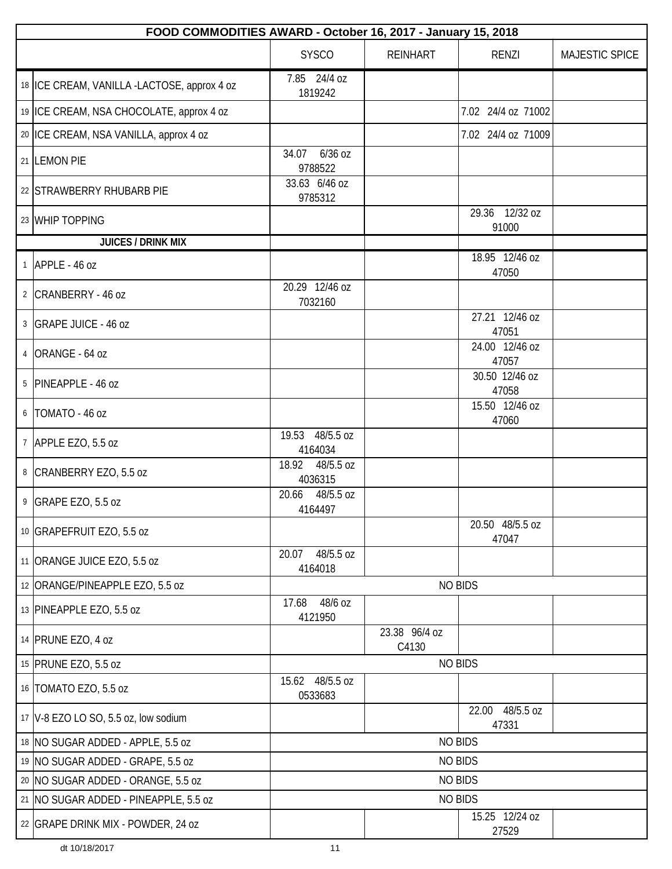| FOOD COMMODITIES AWARD - October 16, 2017 - January 15, 2018 |                               |                        |                          |                |  |  |
|--------------------------------------------------------------|-------------------------------|------------------------|--------------------------|----------------|--|--|
|                                                              | <b>SYSCO</b>                  | <b>REINHART</b>        | <b>RENZI</b>             | MAJESTIC SPICE |  |  |
| 18 ICE CREAM, VANILLA -LACTOSE, approx 4 oz                  | 7.85 24/4 oz<br>1819242       |                        |                          |                |  |  |
| 19 ICE CREAM, NSA CHOCOLATE, approx 4 oz                     |                               |                        | 7.02 24/4 oz 71002       |                |  |  |
| 20 ICE CREAM, NSA VANILLA, approx 4 oz                       |                               |                        | 7.02 24/4 oz 71009       |                |  |  |
| 21 LEMON PIE                                                 | $6/36$ oz<br>34.07<br>9788522 |                        |                          |                |  |  |
| 22 STRAWBERRY RHUBARB PIE                                    | 33.63 6/46 oz<br>9785312      |                        |                          |                |  |  |
| 23 WHIP TOPPING                                              |                               |                        | 29.36 12/32 oz<br>91000  |                |  |  |
| <b>JUICES / DRINK MIX</b>                                    |                               |                        |                          |                |  |  |
| $1$ APPLE - 46 oz                                            |                               |                        | 18.95 12/46 oz<br>47050  |                |  |  |
| 2 CRANBERRY - 46 oz                                          | 20.29 12/46 oz<br>7032160     |                        |                          |                |  |  |
| 3 GRAPE JUICE - 46 oz                                        |                               |                        | 27.21 12/46 oz<br>47051  |                |  |  |
| 4 ORANGE - 64 oz                                             |                               |                        | 24.00 12/46 oz<br>47057  |                |  |  |
| 5 PINEAPPLE - 46 oz                                          |                               |                        | 30.50 12/46 oz<br>47058  |                |  |  |
| 6   TOMATO - 46 oz                                           |                               |                        | 15.50 12/46 oz<br>47060  |                |  |  |
| 7 APPLE EZO, 5.5 oz                                          | 19.53 48/5.5 oz<br>4164034    |                        |                          |                |  |  |
| 8 CRANBERRY EZO, 5.5 oz                                      | 18.92 48/5.5 oz<br>4036315    |                        |                          |                |  |  |
| 9 GRAPE EZO, 5.5 oz                                          | 20.66 48/5.5 oz<br>4164497    |                        |                          |                |  |  |
| 10 GRAPEFRUIT EZO, 5.5 oz                                    |                               |                        | 20.50 48/5.5 oz<br>47047 |                |  |  |
| 11 ORANGE JUICE EZO, 5.5 oz                                  | 48/5.5 oz<br>20.07<br>4164018 |                        |                          |                |  |  |
| 12 ORANGE/PINEAPPLE EZO, 5.5 oz                              |                               |                        | <b>NO BIDS</b>           |                |  |  |
| 13 PINEAPPLE EZO, 5.5 oz                                     | 48/6 oz<br>17.68<br>4121950   |                        |                          |                |  |  |
| 14 PRUNE EZO, 4 oz                                           |                               | 23.38 96/4 oz<br>C4130 |                          |                |  |  |
| 15 PRUNE EZO, 5.5 oz                                         |                               |                        | <b>NO BIDS</b>           |                |  |  |
| 16   TOMATO EZO, 5.5 oz                                      | 15.62 48/5.5 oz<br>0533683    |                        |                          |                |  |  |
| 17   V-8 EZO LO SO, 5.5 oz, low sodium                       |                               |                        | 22.00 48/5.5 oz<br>47331 |                |  |  |
| 18 NO SUGAR ADDED - APPLE, 5.5 oz                            |                               |                        | <b>NO BIDS</b>           |                |  |  |
| 19 NO SUGAR ADDED - GRAPE, 5.5 oz                            |                               |                        | <b>NO BIDS</b>           |                |  |  |
| 20 NO SUGAR ADDED - ORANGE, 5.5 oz                           |                               |                        | <b>NO BIDS</b>           |                |  |  |
| 21   NO SUGAR ADDED - PINEAPPLE, 5.5 oz                      |                               |                        | <b>NO BIDS</b>           |                |  |  |
| 22 GRAPE DRINK MIX - POWDER, 24 oz                           |                               |                        | 15.25 12/24 oz<br>27529  |                |  |  |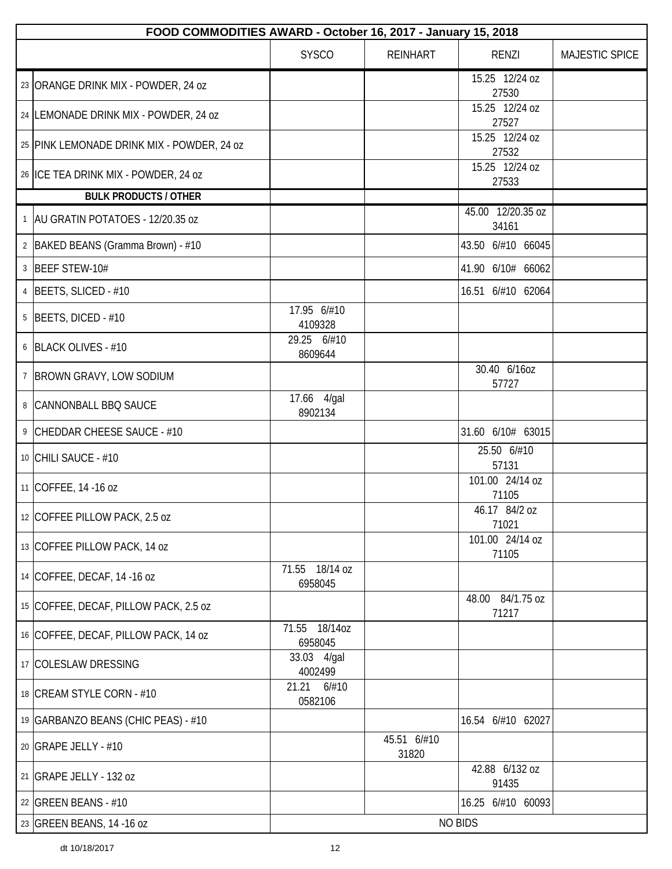| FOOD COMMODITIES AWARD - October 16, 2017 - January 15, 2018 |                             |                      |                            |                |  |  |
|--------------------------------------------------------------|-----------------------------|----------------------|----------------------------|----------------|--|--|
|                                                              | <b>SYSCO</b>                | <b>REINHART</b>      | <b>RENZI</b>               | MAJESTIC SPICE |  |  |
| 23 ORANGE DRINK MIX - POWDER, 24 oz                          |                             |                      | 15.25 12/24 oz<br>27530    |                |  |  |
| 24 LEMONADE DRINK MIX - POWDER, 24 oz                        |                             |                      | 15.25 12/24 oz<br>27527    |                |  |  |
| 25 PINK LEMONADE DRINK MIX - POWDER, 24 oz                   |                             |                      | 15.25 12/24 oz<br>27532    |                |  |  |
| 26 ICE TEA DRINK MIX - POWDER, 24 oz                         |                             |                      | 15.25 12/24 oz<br>27533    |                |  |  |
| <b>BULK PRODUCTS / OTHER</b>                                 |                             |                      |                            |                |  |  |
| 1   AU GRATIN POTATOES - 12/20.35 oz                         |                             |                      | 45.00 12/20.35 oz<br>34161 |                |  |  |
| 2 BAKED BEANS (Gramma Brown) - #10                           |                             |                      | 43.50 6/#10 66045          |                |  |  |
| 3 BEEF STEW-10#                                              |                             |                      | 41.90 6/10# 66062          |                |  |  |
| 4 BEETS, SLICED - #10                                        |                             |                      | 16.51 6/#10 62064          |                |  |  |
| $5$ BEETS, DICED - #10                                       | 17.95 6/#10<br>4109328      |                      |                            |                |  |  |
| 6 BLACK OLIVES - #10                                         | 29.25 6/#10<br>8609644      |                      |                            |                |  |  |
| 7 BROWN GRAVY, LOW SODIUM                                    |                             |                      | 30.40 6/16oz<br>57727      |                |  |  |
| 8 CANNONBALL BBQ SAUCE                                       | 17.66 4/gal<br>8902134      |                      |                            |                |  |  |
| 9 CHEDDAR CHEESE SAUCE - #10                                 |                             |                      | 31.60 6/10# 63015          |                |  |  |
| 10 CHILI SAUCE - #10                                         |                             |                      | 25.50 6/#10<br>57131       |                |  |  |
| 11 COFFEE, 14 -16 oz                                         |                             |                      | 101.00 24/14 oz<br>71105   |                |  |  |
| 12 COFFEE PILLOW PACK, 2.5 oz                                |                             |                      | 46.17 84/2 oz<br>71021     |                |  |  |
| 13 COFFEE PILLOW PACK, 14 oz                                 |                             |                      | 101.00 24/14 oz<br>71105   |                |  |  |
| 14 COFFEE, DECAF, 14 -16 oz                                  | 71.55 18/14 oz<br>6958045   |                      |                            |                |  |  |
| 15 COFFEE, DECAF, PILLOW PACK, 2.5 oz                        |                             |                      | 48.00 84/1.75 oz<br>71217  |                |  |  |
| 16 COFFEE, DECAF, PILLOW PACK, 14 oz                         | 71.55<br>18/14oz<br>6958045 |                      |                            |                |  |  |
| 17 COLESLAW DRESSING                                         | 33.03 4/gal<br>4002499      |                      |                            |                |  |  |
| 18 CREAM STYLE CORN - #10                                    | 6/#10<br>21.21<br>0582106   |                      |                            |                |  |  |
| 19 GARBANZO BEANS (CHIC PEAS) - #10                          |                             |                      | 16.54 6/#10 62027          |                |  |  |
| 20 GRAPE JELLY - #10                                         |                             | 45.51 6/#10<br>31820 |                            |                |  |  |
| 21 GRAPE JELLY - 132 oz                                      |                             |                      | 42.88 6/132 oz<br>91435    |                |  |  |
| 22 GREEN BEANS - #10                                         |                             |                      | 16.25 6/#10 60093          |                |  |  |
| 23 GREEN BEANS, 14 -16 oz                                    |                             |                      | <b>NO BIDS</b>             |                |  |  |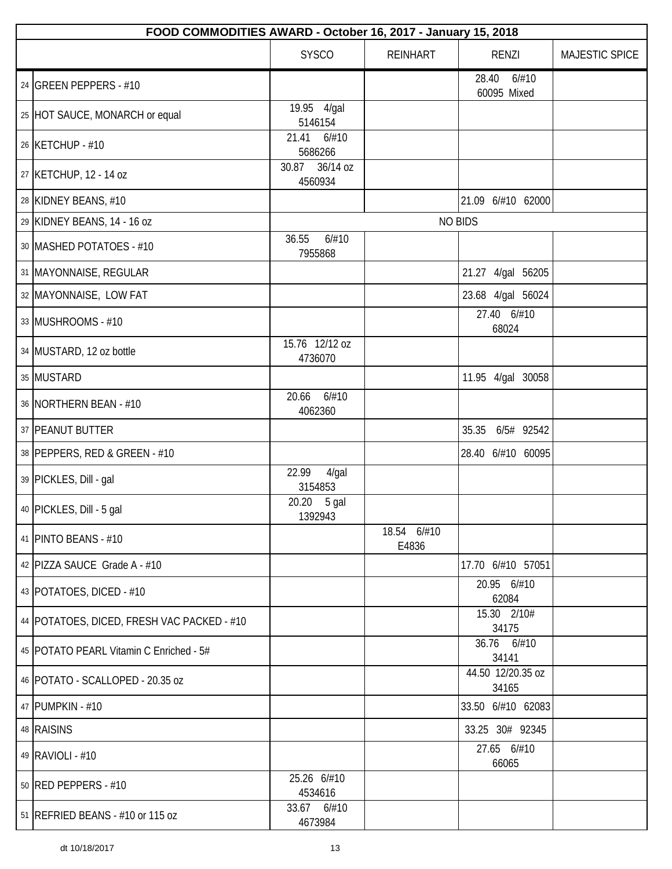| FOOD COMMODITIES AWARD - October 16, 2017 - January 15, 2018 |                           |                      |                               |                |  |  |  |
|--------------------------------------------------------------|---------------------------|----------------------|-------------------------------|----------------|--|--|--|
|                                                              | <b>SYSCO</b>              | <b>REINHART</b>      | <b>RENZI</b>                  | MAJESTIC SPICE |  |  |  |
| 24 GREEN PEPPERS - #10                                       |                           |                      | 28.40<br>6/#10<br>60095 Mixed |                |  |  |  |
| 25 HOT SAUCE, MONARCH or equal                               | 19.95 4/gal<br>5146154    |                      |                               |                |  |  |  |
| 26 KETCHUP - #10                                             | 21.41<br>6/#10<br>5686266 |                      |                               |                |  |  |  |
| 27 KETCHUP, 12 - 14 oz                                       | 30.87 36/14 oz<br>4560934 |                      |                               |                |  |  |  |
| 28 KIDNEY BEANS, #10                                         |                           |                      | 21.09 6/#10 62000             |                |  |  |  |
| 29 KIDNEY BEANS, 14 - 16 oz                                  |                           |                      | <b>NO BIDS</b>                |                |  |  |  |
| 30 MASHED POTATOES - #10                                     | 36.55<br>6/#10<br>7955868 |                      |                               |                |  |  |  |
| 31   MAYONNAISE, REGULAR                                     |                           |                      | 21.27 4/gal 56205             |                |  |  |  |
| 32   MAYONNAISE, LOW FAT                                     |                           |                      | 23.68 4/gal 56024             |                |  |  |  |
| 33 MUSHROOMS - #10                                           |                           |                      | 27.40 6/#10<br>68024          |                |  |  |  |
| 34 MUSTARD, 12 oz bottle                                     | 15.76 12/12 oz<br>4736070 |                      |                               |                |  |  |  |
| 35 MUSTARD                                                   |                           |                      | 11.95 4/gal 30058             |                |  |  |  |
| 36 NORTHERN BEAN - #10                                       | 6/#10<br>20.66<br>4062360 |                      |                               |                |  |  |  |
| 37 PEANUT BUTTER                                             |                           |                      | 35.35 6/5# 92542              |                |  |  |  |
| 38 PEPPERS, RED & GREEN - #10                                |                           |                      | 28.40 6/#10 60095             |                |  |  |  |
| 39 PICKLES, Dill - gal                                       | 22.99<br>4/gal<br>3154853 |                      |                               |                |  |  |  |
| 40 PICKLES, Dill - 5 gal                                     | 20.20 5 gal<br>1392943    |                      |                               |                |  |  |  |
| 41   PINTO BEANS - #10                                       |                           | 18.54 6/#10<br>E4836 |                               |                |  |  |  |
| 42 PIZZA SAUCE Grade A - #10                                 |                           |                      | 17.70 6/#10 57051             |                |  |  |  |
| 43   POTATOES, DICED - #10                                   |                           |                      | 20.95 6/#10<br>62084          |                |  |  |  |
| 44   POTATOES, DICED, FRESH VAC PACKED - #10                 |                           |                      | 15.30 2/10#<br>34175          |                |  |  |  |
| 45   POTATO PEARL Vitamin C Enriched - 5#                    |                           |                      | 36.76 6/#10<br>34141          |                |  |  |  |
| 46   POTATO - SCALLOPED - 20.35 oz                           |                           |                      | 44.50 12/20.35 oz<br>34165    |                |  |  |  |
| 47 PUMPKIN - #10                                             |                           |                      | 33.50 6/#10 62083             |                |  |  |  |
| 48 RAISINS                                                   |                           |                      | 33.25 30# 92345               |                |  |  |  |
| 49 RAVIOLI - #10                                             |                           |                      | 27.65 6/#10<br>66065          |                |  |  |  |
| 50 RED PEPPERS - #10                                         | 25.26 6/#10<br>4534616    |                      |                               |                |  |  |  |
| 51   REFRIED BEANS - #10 or 115 oz                           | 33.67 6/#10<br>4673984    |                      |                               |                |  |  |  |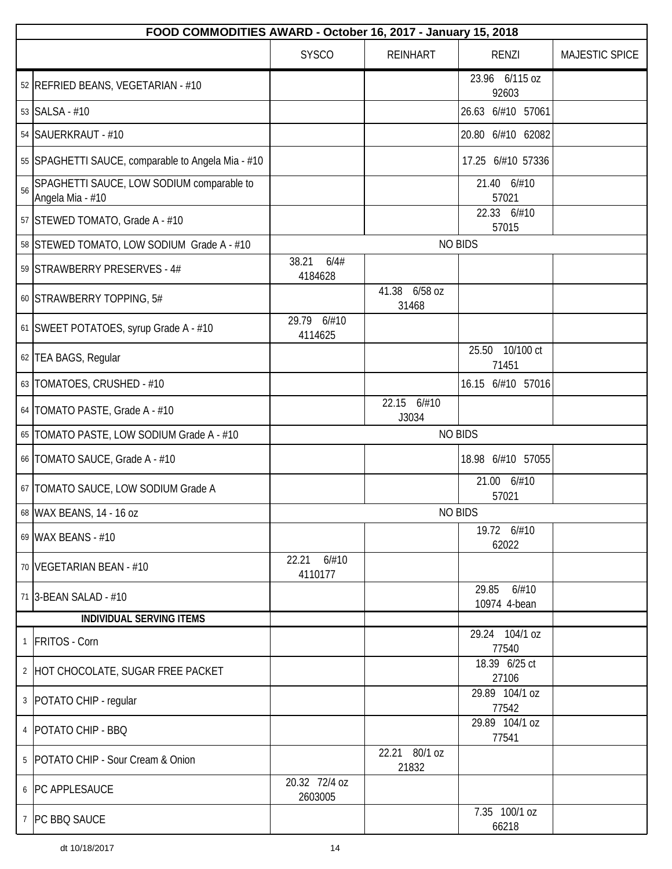|    | FOOD COMMODITIES AWARD - October 16, 2017 - January 15, 2018  |                           |                        |                                |                |  |  |  |
|----|---------------------------------------------------------------|---------------------------|------------------------|--------------------------------|----------------|--|--|--|
|    |                                                               | <b>SYSCO</b>              | <b>REINHART</b>        | <b>RENZI</b>                   | MAJESTIC SPICE |  |  |  |
|    | 52 REFRIED BEANS, VEGETARIAN - #10                            |                           |                        | 23.96 6/115 oz<br>92603        |                |  |  |  |
|    | 53 SALSA - #10                                                |                           |                        | 26.63 6/#10 57061              |                |  |  |  |
|    | 54 SAUERKRAUT - #10                                           |                           |                        | 20.80 6/#10 62082              |                |  |  |  |
|    | 55 SPAGHETTI SAUCE, comparable to Angela Mia - #10            |                           |                        | 17.25 6/#10 57336              |                |  |  |  |
| 56 | SPAGHETTI SAUCE, LOW SODIUM comparable to<br>Angela Mia - #10 |                           |                        | 21.40 6/#10<br>57021           |                |  |  |  |
|    | 57 STEWED TOMATO, Grade A - #10                               |                           |                        | 22.33 6/#10<br>57015           |                |  |  |  |
|    | 58 STEWED TOMATO, LOW SODIUM Grade A - #10                    |                           |                        | <b>NO BIDS</b>                 |                |  |  |  |
|    | 59 STRAWBERRY PRESERVES - 4#                                  | 38.21<br>6/4#<br>4184628  |                        |                                |                |  |  |  |
|    | 60 STRAWBERRY TOPPING, 5#                                     |                           | 41.38 6/58 oz<br>31468 |                                |                |  |  |  |
|    | 61 SWEET POTATOES, syrup Grade A - #10                        | 29.79 6/#10<br>4114625    |                        |                                |                |  |  |  |
|    | 62 TEA BAGS, Regular                                          |                           |                        | 25.50 10/100 ct<br>71451       |                |  |  |  |
|    | 63 TOMATOES, CRUSHED - #10                                    |                           |                        | 16.15 6/#10 57016              |                |  |  |  |
|    | 64   TOMATO PASTE, Grade A - #10                              |                           | 22.15 6/#10<br>J3034   |                                |                |  |  |  |
|    | 65   TOMATO PASTE, LOW SODIUM Grade A - #10                   | <b>NO BIDS</b>            |                        |                                |                |  |  |  |
|    | 66   TOMATO SAUCE, Grade A - #10                              |                           |                        | 18.98 6/#10 57055              |                |  |  |  |
|    | 67   TOMATO SAUCE, LOW SODIUM Grade A                         |                           |                        | 21.00 6/#10<br>57021           |                |  |  |  |
|    | 68 WAX BEANS, 14 - 16 oz                                      |                           |                        | <b>NO BIDS</b>                 |                |  |  |  |
|    | 69 WAX BEANS - #10                                            |                           |                        | 19.72 6/#10<br>62022           |                |  |  |  |
|    | 70   VEGETARIAN BEAN - #10                                    | 22.21<br>6/#10<br>4110177 |                        |                                |                |  |  |  |
|    | 71 3-BEAN SALAD - #10                                         |                           |                        | 6/#10<br>29.85<br>10974 4-bean |                |  |  |  |
|    | <b>INDIVIDUAL SERVING ITEMS</b>                               |                           |                        |                                |                |  |  |  |
|    | 1 FRITOS - Corn                                               |                           |                        | 29.24 104/1 oz<br>77540        |                |  |  |  |
|    | 2 HOT CHOCOLATE, SUGAR FREE PACKET                            |                           |                        | 18.39 6/25 ct<br>27106         |                |  |  |  |
|    | 3   POTATO CHIP - regular                                     |                           |                        | 29.89 104/1 oz<br>77542        |                |  |  |  |
|    | 4   POTATO CHIP - BBQ                                         |                           |                        | 29.89 104/1 oz<br>77541        |                |  |  |  |
|    | 5   POTATO CHIP - Sour Cream & Onion                          |                           | 22.21 80/1 oz<br>21832 |                                |                |  |  |  |
|    | 6   PC APPLESAUCE                                             | 20.32 72/4 oz<br>2603005  |                        |                                |                |  |  |  |
|    | 7 PC BBQ SAUCE                                                |                           |                        | 7.35 100/1 oz<br>66218         |                |  |  |  |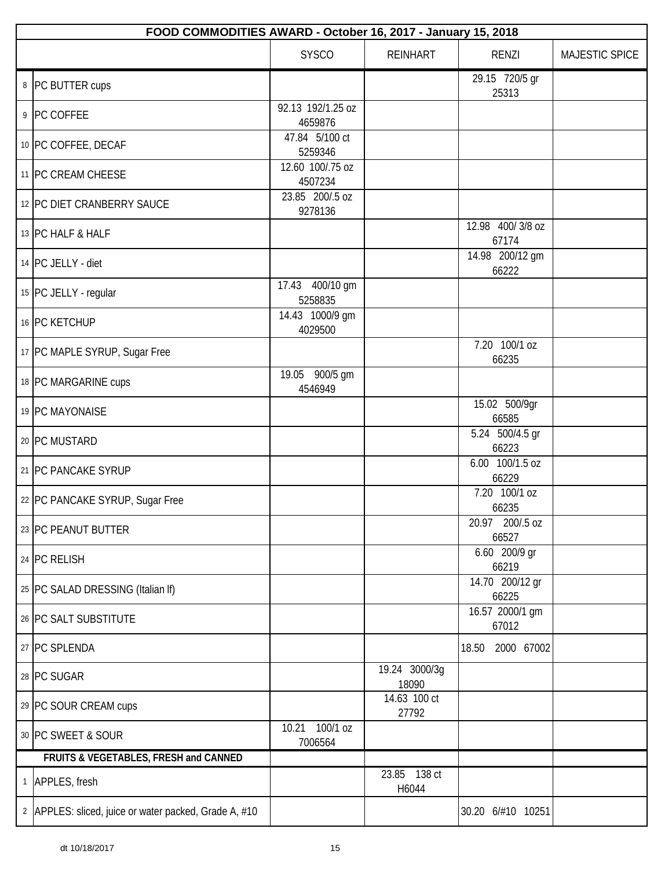| FOOD COMMODITIES AWARD - October 16, 2017 - January 15, 2018 |                                                       |                              |                        |                           |                |  |  |
|--------------------------------------------------------------|-------------------------------------------------------|------------------------------|------------------------|---------------------------|----------------|--|--|
|                                                              |                                                       | <b>SYSCO</b>                 | <b>REINHART</b>        | <b>RENZI</b>              | MAJESTIC SPICE |  |  |
|                                                              | 8 PC BUTTER cups                                      |                              |                        | 29.15 720/5 gr<br>25313   |                |  |  |
|                                                              | 9 PC COFFEE                                           | 92.13 192/1.25 oz<br>4659876 |                        |                           |                |  |  |
|                                                              | 10 PC COFFEE, DECAF                                   | 47.84 5/100 ct<br>5259346    |                        |                           |                |  |  |
|                                                              | 11 PC CREAM CHEESE                                    | 12.60 100/.75 oz<br>4507234  |                        |                           |                |  |  |
|                                                              | 12 PC DIET CRANBERRY SAUCE                            | 23.85 200/.5 oz<br>9278136   |                        |                           |                |  |  |
|                                                              | 13 PC HALF & HALF                                     |                              |                        | 12.98 400/3/8 oz<br>67174 |                |  |  |
|                                                              | 14 PC JELLY - diet                                    |                              |                        | 14.98 200/12 gm<br>66222  |                |  |  |
|                                                              | 15 PC JELLY - regular                                 | 17.43 400/10 gm<br>5258835   |                        |                           |                |  |  |
|                                                              | 16 PC KETCHUP                                         | 14.43 1000/9 gm<br>4029500   |                        |                           |                |  |  |
|                                                              | 17 PC MAPLE SYRUP, Sugar Free                         |                              |                        | 7.20 100/1 oz<br>66235    |                |  |  |
|                                                              | 18 PC MARGARINE cups                                  | 19.05 900/5 gm<br>4546949    |                        |                           |                |  |  |
|                                                              | 19 PC MAYONAISE                                       |                              |                        | 15.02 500/9gr<br>66585    |                |  |  |
|                                                              | 20 PC MUSTARD                                         |                              |                        | 5.24 500/4.5 gr<br>66223  |                |  |  |
|                                                              | 21   PC PANCAKE SYRUP                                 |                              |                        | 6.00 100/1.5 oz<br>66229  |                |  |  |
|                                                              | 22 PC PANCAKE SYRUP, Sugar Free                       |                              |                        | 7.20 100/1 oz<br>66235    |                |  |  |
|                                                              | 23 PC PEANUT BUTTER                                   |                              |                        | 20.97 200/.5 oz<br>66527  |                |  |  |
|                                                              | 24 PC RELISH                                          |                              |                        | 6.60 200/9 gr<br>66219    |                |  |  |
|                                                              | 25 PC SALAD DRESSING (Italian If)                     |                              |                        | 14.70 200/12 gr<br>66225  |                |  |  |
|                                                              | 26 PC SALT SUBSTITUTE                                 |                              |                        | 16.57 2000/1 gm<br>67012  |                |  |  |
|                                                              | 27 PC SPLENDA                                         |                              |                        | 2000 67002<br>18.50       |                |  |  |
|                                                              | 28 PC SUGAR                                           |                              | 19.24 3000/3g<br>18090 |                           |                |  |  |
|                                                              | 29 PC SOUR CREAM cups                                 |                              | 14.63 100 ct<br>27792  |                           |                |  |  |
|                                                              | 30 PC SWEET & SOUR                                    | 10.21 100/1 oz<br>7006564    |                        |                           |                |  |  |
|                                                              | FRUITS & VEGETABLES, FRESH and CANNED                 |                              |                        |                           |                |  |  |
|                                                              | 1 APPLES, fresh                                       |                              | 23.85 138 ct<br>H6044  |                           |                |  |  |
|                                                              | 2 APPLES: sliced, juice or water packed, Grade A, #10 |                              |                        | 30.20 6/#10 10251         |                |  |  |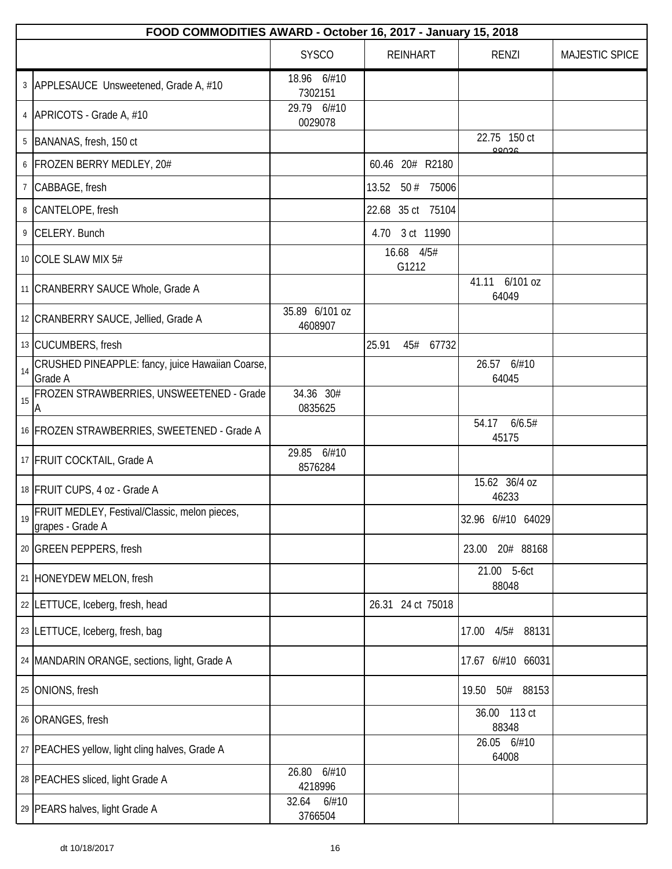|                 | FOOD COMMODITIES AWARD - October 16, 2017 - January 15, 2018             |                           |       |                     |                   |                            |                |  |
|-----------------|--------------------------------------------------------------------------|---------------------------|-------|---------------------|-------------------|----------------------------|----------------|--|
|                 |                                                                          | <b>SYSCO</b>              |       | <b>REINHART</b>     |                   | RENZI                      | MAJESTIC SPICE |  |
|                 | 3 APPLESAUCE Unsweetened, Grade A, #10                                   | 18.96 6/#10<br>7302151    |       |                     |                   |                            |                |  |
|                 | 4   APRICOTS - Grade A, #10                                              | 29.79 6/#10<br>0029078    |       |                     |                   |                            |                |  |
|                 | 5 BANANAS, fresh, 150 ct                                                 |                           |       |                     |                   | 22.75 150 ct<br>88036      |                |  |
|                 | 6 FROZEN BERRY MEDLEY, 20#                                               |                           |       |                     | 60.46 20# R2180   |                            |                |  |
| $7\phantom{.0}$ | CABBAGE, fresh                                                           |                           |       |                     | 13.52 50 # 75006  |                            |                |  |
|                 | 8 CANTELOPE, fresh                                                       |                           |       |                     | 22.68 35 ct 75104 |                            |                |  |
| 9               | CELERY. Bunch                                                            |                           |       |                     | 4.70 3 ct 11990   |                            |                |  |
|                 | 10 COLE SLAW MIX 5#                                                      |                           |       | 16.68 4/5#<br>G1212 |                   |                            |                |  |
|                 | 11   CRANBERRY SAUCE Whole, Grade A                                      |                           |       |                     |                   | 6/101 oz<br>41.11<br>64049 |                |  |
|                 | 12 CRANBERRY SAUCE, Jellied, Grade A                                     | 35.89 6/101 oz<br>4608907 |       |                     |                   |                            |                |  |
|                 | 13 CUCUMBERS, fresh                                                      |                           | 25.91 |                     | 45# 67732         |                            |                |  |
| 14              | CRUSHED PINEAPPLE: fancy, juice Hawaiian Coarse,<br>Grade A              |                           |       |                     |                   | 26.57 6/#10<br>64045       |                |  |
| 15              | FROZEN STRAWBERRIES, UNSWEETENED - Grade<br>А                            | 34.36 30#<br>0835625      |       |                     |                   |                            |                |  |
|                 | 16 FROZEN STRAWBERRIES, SWEETENED - Grade A                              |                           |       |                     |                   | 6/6.5#<br>54.17<br>45175   |                |  |
|                 | 17 FRUIT COCKTAIL, Grade A                                               | 29.85 6/#10<br>8576284    |       |                     |                   |                            |                |  |
|                 | 18 FRUIT CUPS, 4 oz - Grade A                                            |                           |       |                     |                   | 15.62 36/4 oz<br>46233     |                |  |
| 19              | <b>FRUIT MEDLEY, Festival/Classic, melon pieces,</b><br>grapes - Grade A |                           |       |                     |                   | 32.96 6/#10 64029          |                |  |
|                 | 20 GREEN PEPPERS, fresh                                                  |                           |       |                     |                   | 20# 88168<br>23.00         |                |  |
|                 | 21 HONEYDEW MELON, fresh                                                 |                           |       |                     |                   | 21.00 5-6ct<br>88048       |                |  |
|                 | 22 LETTUCE, Iceberg, fresh, head                                         |                           |       |                     | 26.31 24 ct 75018 |                            |                |  |
|                 | 23 LETTUCE, Iceberg, fresh, bag                                          |                           |       |                     |                   | 4/5#<br>88131<br>17.00     |                |  |
|                 | 24   MANDARIN ORANGE, sections, light, Grade A                           |                           |       |                     |                   | 17.67 6/#10 66031          |                |  |
|                 | 25 ONIONS, fresh                                                         |                           |       |                     |                   | 50# 88153<br>19.50         |                |  |
|                 | 26 ORANGES, fresh                                                        |                           |       |                     |                   | 36.00 113 ct<br>88348      |                |  |
|                 | 27   PEACHES yellow, light cling halves, Grade A                         |                           |       |                     |                   | 26.05 6/#10<br>64008       |                |  |
|                 | 28 PEACHES sliced, light Grade A                                         | 6/#10<br>26.80<br>4218996 |       |                     |                   |                            |                |  |
|                 | 29 PEARS halves, light Grade A                                           | 6/#10<br>32.64<br>3766504 |       |                     |                   |                            |                |  |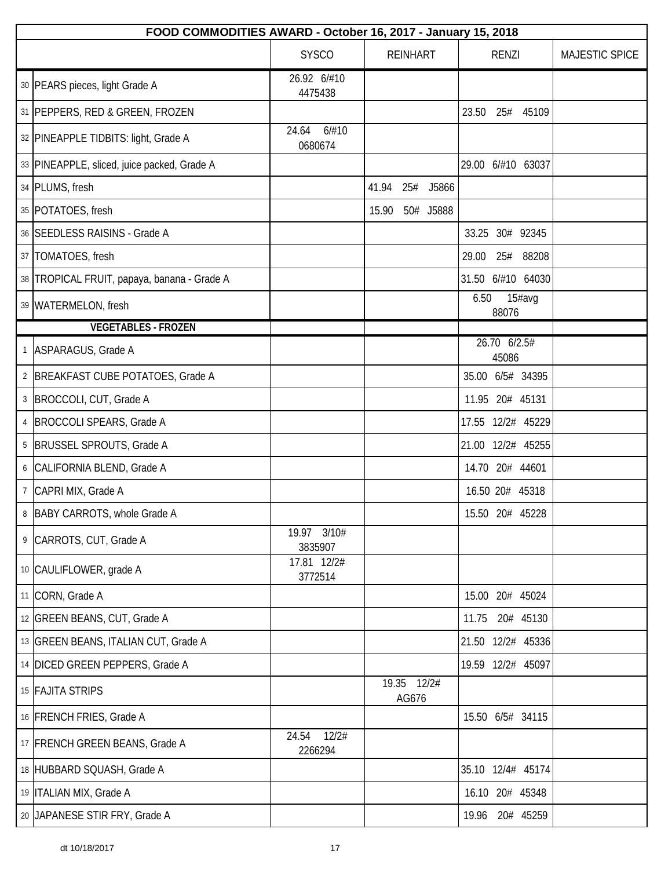| FOOD COMMODITIES AWARD - October 16, 2017 - January 15, 2018 |                           |       |                      |  |       |                       |                |  |
|--------------------------------------------------------------|---------------------------|-------|----------------------|--|-------|-----------------------|----------------|--|
|                                                              | <b>SYSCO</b>              |       | <b>REINHART</b>      |  |       | <b>RENZI</b>          | MAJESTIC SPICE |  |
| 30 PEARS pieces, light Grade A                               | 26.92 6/#10<br>4475438    |       |                      |  |       |                       |                |  |
| 31 PEPPERS, RED & GREEN, FROZEN                              |                           |       |                      |  | 23.50 | 25# 45109             |                |  |
| 32 PINEAPPLE TIDBITS: light, Grade A                         | 6/#10<br>24.64<br>0680674 |       |                      |  |       |                       |                |  |
| 33 PINEAPPLE, sliced, juice packed, Grade A                  |                           |       |                      |  |       | 29.00 6/#10 63037     |                |  |
| 34 PLUMS, fresh                                              |                           | 41.94 | 25# J5866            |  |       |                       |                |  |
| 35 POTATOES, fresh                                           |                           | 15.90 | 50# J5888            |  |       |                       |                |  |
| 36 SEEDLESS RAISINS - Grade A                                |                           |       |                      |  |       | 33.25 30# 92345       |                |  |
| 37   TOMATOES, fresh                                         |                           |       |                      |  | 29.00 | 25# 88208             |                |  |
| 38 TROPICAL FRUIT, papaya, banana - Grade A                  |                           |       |                      |  |       | 31.50 6/#10 64030     |                |  |
| 39 WATERMELON, fresh                                         |                           |       |                      |  | 6.50  | 15#avg<br>88076       |                |  |
| <b>VEGETABLES - FROZEN</b>                                   |                           |       |                      |  |       |                       |                |  |
| 1 ASPARAGUS, Grade A                                         |                           |       |                      |  |       | 26.70 6/2.5#<br>45086 |                |  |
| 2 BREAKFAST CUBE POTATOES, Grade A                           |                           |       |                      |  |       | 35.00 6/5# 34395      |                |  |
| 3   BROCCOLI, CUT, Grade A                                   |                           |       |                      |  |       | 11.95 20# 45131       |                |  |
| 4   BROCCOLI SPEARS, Grade A                                 |                           |       |                      |  |       | 17.55 12/2# 45229     |                |  |
| 5   BRUSSEL SPROUTS, Grade A                                 |                           |       |                      |  |       | 21.00 12/2# 45255     |                |  |
| 6 CALIFORNIA BLEND, Grade A                                  |                           |       |                      |  |       | 14.70 20# 44601       |                |  |
| 7 CAPRI MIX, Grade A                                         |                           |       |                      |  |       | 16.50 20# 45318       |                |  |
| 8 BABY CARROTS, whole Grade A                                |                           |       |                      |  |       | 15.50 20# 45228       |                |  |
| 9 CARROTS, CUT, Grade A                                      | 19.97 3/10#<br>3835907    |       |                      |  |       |                       |                |  |
| 10 CAULIFLOWER, grade A                                      | 17.81 12/2#<br>3772514    |       |                      |  |       |                       |                |  |
| 11 CORN, Grade A                                             |                           |       |                      |  |       | 15.00 20# 45024       |                |  |
| 12 GREEN BEANS, CUT, Grade A                                 |                           |       |                      |  | 11.75 | 20# 45130             |                |  |
| 13 GREEN BEANS, ITALIAN CUT, Grade A                         |                           |       |                      |  |       | 21.50 12/2# 45336     |                |  |
| 14 DICED GREEN PEPPERS, Grade A                              |                           |       |                      |  |       | 19.59 12/2# 45097     |                |  |
| 15 FAJITA STRIPS                                             |                           |       | 19.35 12/2#<br>AG676 |  |       |                       |                |  |
| 16 FRENCH FRIES, Grade A                                     |                           |       |                      |  |       | 15.50 6/5# 34115      |                |  |
| 17 FRENCH GREEN BEANS, Grade A                               | 12/2#<br>24.54<br>2266294 |       |                      |  |       |                       |                |  |
| 18 HUBBARD SQUASH, Grade A                                   |                           |       |                      |  |       | 35.10 12/4# 45174     |                |  |
| 19   ITALIAN MIX, Grade A                                    |                           |       |                      |  |       | 16.10 20# 45348       |                |  |
| 20 JAPANESE STIR FRY, Grade A                                |                           |       |                      |  |       | 19.96 20# 45259       |                |  |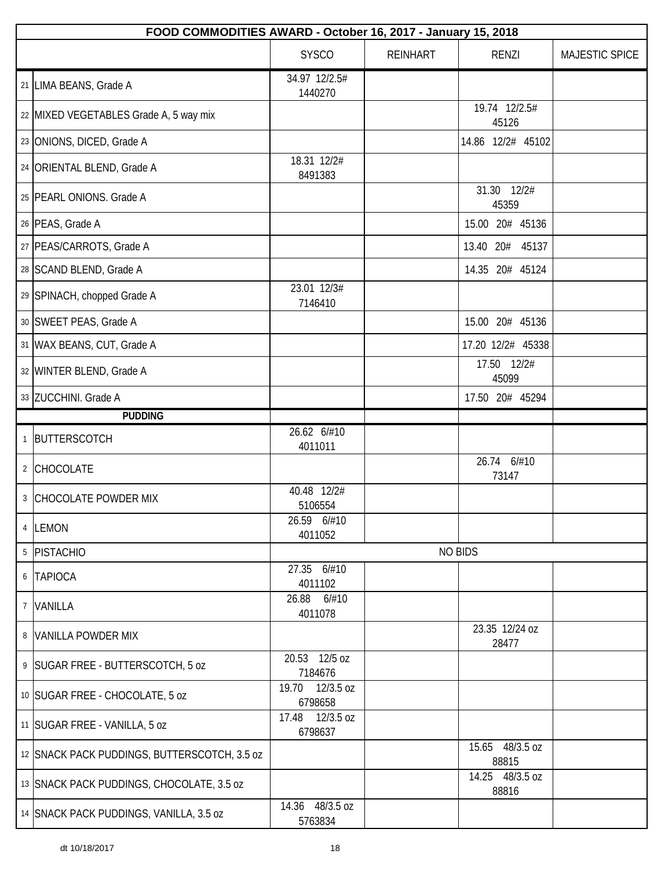| FOOD COMMODITIES AWARD - October 16, 2017 - January 15, 2018 |                            |                 |                          |                |  |  |  |
|--------------------------------------------------------------|----------------------------|-----------------|--------------------------|----------------|--|--|--|
|                                                              | <b>SYSCO</b>               | <b>REINHART</b> | <b>RENZI</b>             | MAJESTIC SPICE |  |  |  |
| 21 LIMA BEANS, Grade A                                       | 34.97 12/2.5#<br>1440270   |                 |                          |                |  |  |  |
| 22 MIXED VEGETABLES Grade A, 5 way mix                       |                            |                 | 19.74 12/2.5#<br>45126   |                |  |  |  |
| 23 ONIONS, DICED, Grade A                                    |                            |                 | 14.86 12/2# 45102        |                |  |  |  |
| 24 ORIENTAL BLEND, Grade A                                   | 18.31 12/2#<br>8491383     |                 |                          |                |  |  |  |
| 25   PEARL ONIONS. Grade A                                   |                            |                 | 31.30 12/2#<br>45359     |                |  |  |  |
| 26 PEAS, Grade A                                             |                            |                 | 15.00 20# 45136          |                |  |  |  |
| 27   PEAS/CARROTS, Grade A                                   |                            |                 | 13.40 20# 45137          |                |  |  |  |
| 28 SCAND BLEND, Grade A                                      |                            |                 | 14.35 20# 45124          |                |  |  |  |
| 29 SPINACH, chopped Grade A                                  | 23.01 12/3#<br>7146410     |                 |                          |                |  |  |  |
| 30 SWEET PEAS, Grade A                                       |                            |                 | 15.00 20# 45136          |                |  |  |  |
| 31 WAX BEANS, CUT, Grade A                                   |                            |                 | 17.20 12/2# 45338        |                |  |  |  |
| 32 WINTER BLEND, Grade A                                     |                            |                 | 17.50 12/2#<br>45099     |                |  |  |  |
| 33 ZUCCHINI. Grade A                                         |                            |                 | 17.50 20# 45294          |                |  |  |  |
| <b>PUDDING</b>                                               |                            |                 |                          |                |  |  |  |
| 1 BUTTERSCOTCH                                               | 26.62 6/#10<br>4011011     |                 |                          |                |  |  |  |
| 2 CHOCOLATE                                                  |                            |                 | 26.74 6/#10<br>73147     |                |  |  |  |
| 3 CHOCOLATE POWDER MIX                                       | 40.48 12/2#<br>5106554     |                 |                          |                |  |  |  |
| 4 LEMON                                                      | 26.59 6/#10<br>4011052     |                 |                          |                |  |  |  |
| 5 PISTACHIO                                                  |                            |                 | <b>NO BIDS</b>           |                |  |  |  |
| 6 TAPIOCA                                                    | 27.35 6/#10<br>4011102     |                 |                          |                |  |  |  |
| 7 VANILLA                                                    | 26.88<br>6/#10<br>4011078  |                 |                          |                |  |  |  |
| 8 VANILLA POWDER MIX                                         |                            |                 | 23.35 12/24 oz<br>28477  |                |  |  |  |
| 9 SUGAR FREE - BUTTERSCOTCH, 5 oz                            | 20.53 12/5 oz<br>7184676   |                 |                          |                |  |  |  |
| 10 SUGAR FREE - CHOCOLATE, 5 oz                              | 19.70 12/3.5 oz<br>6798658 |                 |                          |                |  |  |  |
| 11 SUGAR FREE - VANILLA, 5 oz                                | 17.48 12/3.5 oz<br>6798637 |                 |                          |                |  |  |  |
| 12 SNACK PACK PUDDINGS, BUTTERSCOTCH, 3.5 oz                 |                            |                 | 15.65 48/3.5 oz<br>88815 |                |  |  |  |
| 13 SNACK PACK PUDDINGS, CHOCOLATE, 3.5 oz                    |                            |                 | 14.25 48/3.5 oz<br>88816 |                |  |  |  |
| 14 SNACK PACK PUDDINGS, VANILLA, 3.5 oz                      | 14.36 48/3.5 oz<br>5763834 |                 |                          |                |  |  |  |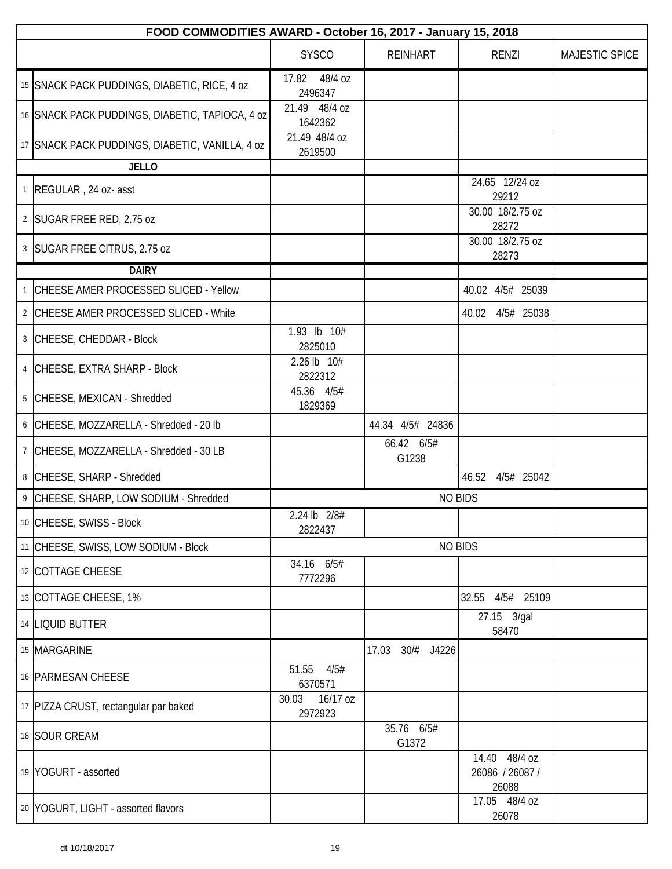| FOOD COMMODITIES AWARD - October 16, 2017 - January 15, 2018 |                           |                     |                                           |                |  |  |  |
|--------------------------------------------------------------|---------------------------|---------------------|-------------------------------------------|----------------|--|--|--|
|                                                              | <b>SYSCO</b>              | <b>REINHART</b>     | <b>RENZI</b>                              | MAJESTIC SPICE |  |  |  |
| 15 SNACK PACK PUDDINGS, DIABETIC, RICE, 4 oz                 | 17.82 48/4 oz<br>2496347  |                     |                                           |                |  |  |  |
| 16 SNACK PACK PUDDINGS, DIABETIC, TAPIOCA, 4 oz              | 21.49 48/4 oz<br>1642362  |                     |                                           |                |  |  |  |
| 17 SNACK PACK PUDDINGS, DIABETIC, VANILLA, 4 oz              | 21.49 48/4 oz<br>2619500  |                     |                                           |                |  |  |  |
| <b>JELLO</b>                                                 |                           |                     |                                           |                |  |  |  |
| 1 REGULAR, 24 oz- asst                                       |                           |                     | 24.65 12/24 oz<br>29212                   |                |  |  |  |
| 2 SUGAR FREE RED, 2.75 oz                                    |                           |                     | 30.00 18/2.75 oz<br>28272                 |                |  |  |  |
| 3   SUGAR FREE CITRUS, 2.75 oz                               |                           |                     | 30.00 18/2.75 oz<br>28273                 |                |  |  |  |
| <b>DAIRY</b>                                                 |                           |                     |                                           |                |  |  |  |
| 1 CHEESE AMER PROCESSED SLICED - Yellow                      |                           |                     | 40.02 4/5# 25039                          |                |  |  |  |
| 2 CHEESE AMER PROCESSED SLICED - White                       |                           |                     | 40.02 4/5# 25038                          |                |  |  |  |
| 3 CHEESE, CHEDDAR - Block                                    | 1.93 lb 10#<br>2825010    |                     |                                           |                |  |  |  |
| 4 CHEESE, EXTRA SHARP - Block                                | 2.26 lb 10#<br>2822312    |                     |                                           |                |  |  |  |
| 5 CHEESE, MEXICAN - Shredded                                 | 45.36 4/5#<br>1829369     |                     |                                           |                |  |  |  |
| 6 CHEESE, MOZZARELLA - Shredded - 20 lb                      |                           | 44.34 4/5# 24836    |                                           |                |  |  |  |
| 7 CHEESE, MOZZARELLA - Shredded - 30 LB                      |                           | 66.42 6/5#<br>G1238 |                                           |                |  |  |  |
| 8 CHEESE, SHARP - Shredded                                   |                           |                     | 46.52 4/5# 25042                          |                |  |  |  |
| 9 CHEESE, SHARP, LOW SODIUM - Shredded                       |                           | <b>NO BIDS</b>      |                                           |                |  |  |  |
| 10 CHEESE, SWISS - Block                                     | 2.24 lb 2/8#<br>2822437   |                     |                                           |                |  |  |  |
| 11 CHEESE, SWISS, LOW SODIUM - Block                         |                           | <b>NO BIDS</b>      |                                           |                |  |  |  |
| 12 COTTAGE CHEESE                                            | 34.16 6/5#<br>7772296     |                     |                                           |                |  |  |  |
| 13 COTTAGE CHEESE, 1%                                        |                           |                     | 4/5# 25109<br>32.55                       |                |  |  |  |
| 14 LIQUID BUTTER                                             |                           |                     | 27.15 3/gal<br>58470                      |                |  |  |  |
| 15 MARGARINE                                                 |                           | 30/# J4226<br>17.03 |                                           |                |  |  |  |
| 16 PARMESAN CHEESE                                           | 51.55<br>4/5#<br>6370571  |                     |                                           |                |  |  |  |
| 17 PIZZA CRUST, rectangular par baked                        | 30.03 16/17 oz<br>2972923 |                     |                                           |                |  |  |  |
| 18 SOUR CREAM                                                |                           | 35.76 6/5#<br>G1372 |                                           |                |  |  |  |
| 19 YOGURT - assorted                                         |                           |                     | 14.40 48/4 oz<br>26086 / 26087 /<br>26088 |                |  |  |  |
| 20 YOGURT, LIGHT - assorted flavors                          |                           |                     | 17.05 48/4 oz<br>26078                    |                |  |  |  |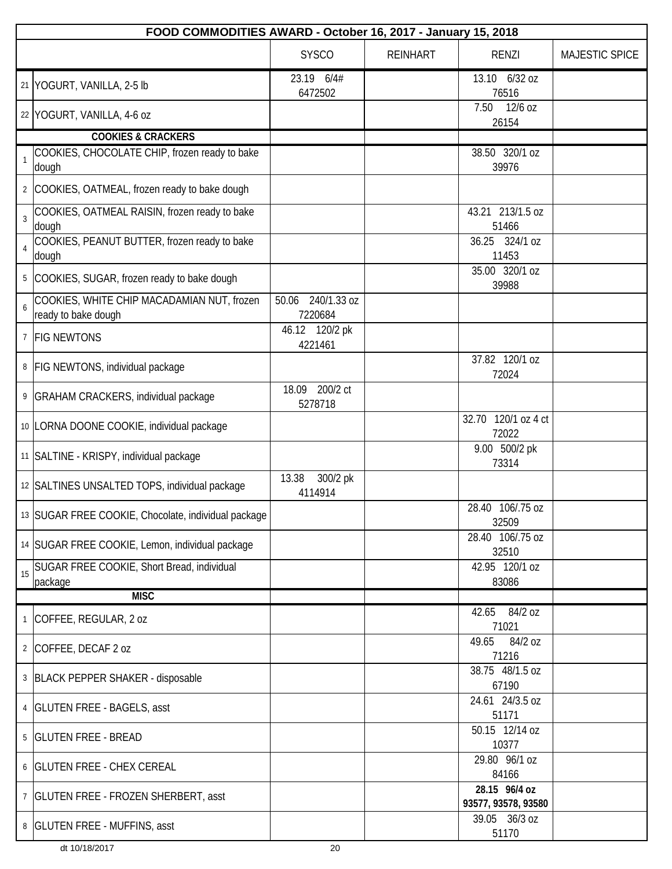|                | FOOD COMMODITIES AWARD - October 16, 2017 - January 15, 2018      |                                 |                 |                                      |                |  |  |  |
|----------------|-------------------------------------------------------------------|---------------------------------|-----------------|--------------------------------------|----------------|--|--|--|
|                |                                                                   | <b>SYSCO</b>                    | <b>REINHART</b> | <b>RENZI</b>                         | MAJESTIC SPICE |  |  |  |
|                | 21 YOGURT, VANILLA, 2-5 lb                                        | 23.19 6/4#<br>6472502           |                 | 13.10 6/32 oz<br>76516               |                |  |  |  |
|                | 22 YOGURT, VANILLA, 4-6 oz                                        |                                 |                 | $12/6$ oz<br>7.50<br>26154           |                |  |  |  |
|                | <b>COOKIES &amp; CRACKERS</b>                                     |                                 |                 |                                      |                |  |  |  |
|                | COOKIES, CHOCOLATE CHIP, frozen ready to bake<br>dough            |                                 |                 | 38.50 320/1 oz<br>39976              |                |  |  |  |
| $\overline{2}$ | COOKIES, OATMEAL, frozen ready to bake dough                      |                                 |                 |                                      |                |  |  |  |
| $\mathbf{3}$   | COOKIES, OATMEAL RAISIN, frozen ready to bake<br>dough            |                                 |                 | 43.21 213/1.5 oz<br>51466            |                |  |  |  |
|                | COOKIES, PEANUT BUTTER, frozen ready to bake<br>dough             |                                 |                 | 36.25 324/1 oz<br>11453              |                |  |  |  |
|                | COOKIES, SUGAR, frozen ready to bake dough                        |                                 |                 | 35.00 320/1 oz<br>39988              |                |  |  |  |
| 6              | COOKIES, WHITE CHIP MACADAMIAN NUT, frozen<br>ready to bake dough | 240/1.33 oz<br>50.06<br>7220684 |                 |                                      |                |  |  |  |
| $7^{\circ}$    | <b>FIG NEWTONS</b>                                                | 46.12 120/2 pk<br>4221461       |                 |                                      |                |  |  |  |
|                | 8   FIG NEWTONS, individual package                               |                                 |                 | 37.82 120/1 oz<br>72024              |                |  |  |  |
| 9              | <b>GRAHAM CRACKERS, individual package</b>                        | 200/2 ct<br>18.09<br>5278718    |                 |                                      |                |  |  |  |
|                | 10   LORNA DOONE COOKIE, individual package                       |                                 |                 | 32.70 120/1 oz 4 ct<br>72022         |                |  |  |  |
|                | 11 SALTINE - KRISPY, individual package                           |                                 |                 | 9.00 500/2 pk<br>73314               |                |  |  |  |
|                | 12 SALTINES UNSALTED TOPS, individual package                     | 13.38<br>300/2 pk<br>4114914    |                 |                                      |                |  |  |  |
|                | 13 SUGAR FREE COOKIE, Chocolate, individual package               |                                 |                 | 28.40 106/.75 oz<br>32509            |                |  |  |  |
|                | 14 SUGAR FREE COOKIE, Lemon, individual package                   |                                 |                 | 28.40 106/.75 oz<br>32510            |                |  |  |  |
| 15             | SUGAR FREE COOKIE, Short Bread, individual<br>package             |                                 |                 | 42.95 120/1 oz<br>83086              |                |  |  |  |
|                | <b>MISC</b>                                                       |                                 |                 |                                      |                |  |  |  |
|                | <sup>1</sup> COFFEE, REGULAR, 2 oz                                |                                 |                 | 42.65 84/2 oz<br>71021               |                |  |  |  |
| $\overline{2}$ | COFFEE, DECAF 2 oz                                                |                                 |                 | 84/2 oz<br>49.65<br>71216            |                |  |  |  |
|                | 3 BLACK PEPPER SHAKER - disposable                                |                                 |                 | 38.75 48/1.5 oz<br>67190             |                |  |  |  |
|                | 4   GLUTEN FREE - BAGELS, asst                                    |                                 |                 | 24.61 24/3.5 oz<br>51171             |                |  |  |  |
| 5              | <b>GLUTEN FREE - BREAD</b>                                        |                                 |                 | 50.15 12/14 oz<br>10377              |                |  |  |  |
| 6              | <b>GLUTEN FREE - CHEX CEREAL</b>                                  |                                 |                 | 29.80 96/1 oz<br>84166               |                |  |  |  |
|                | 7   GLUTEN FREE - FROZEN SHERBERT, asst                           |                                 |                 | 28.15 96/4 oz<br>93577, 93578, 93580 |                |  |  |  |
|                | 8   GLUTEN FREE - MUFFINS, asst                                   |                                 |                 | 39.05 36/3 oz<br>51170               |                |  |  |  |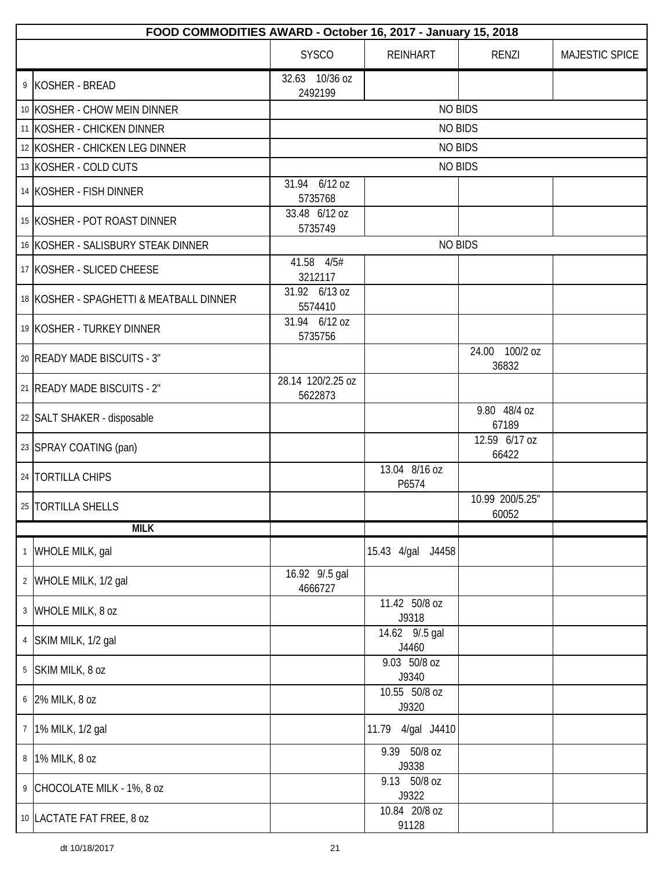|                | FOOD COMMODITIES AWARD - October 16, 2017 - January 15, 2018 |                              |                         |                          |                |  |  |  |
|----------------|--------------------------------------------------------------|------------------------------|-------------------------|--------------------------|----------------|--|--|--|
|                |                                                              | <b>SYSCO</b>                 | <b>REINHART</b>         | RENZI                    | MAJESTIC SPICE |  |  |  |
|                | 9 KOSHER - BREAD                                             | 32.63 10/36 oz<br>2492199    |                         |                          |                |  |  |  |
|                | 10 KOSHER - CHOW MEIN DINNER                                 | <b>NO BIDS</b>               |                         |                          |                |  |  |  |
|                | 11 KOSHER - CHICKEN DINNER                                   |                              | <b>NO BIDS</b>          |                          |                |  |  |  |
|                | 12 KOSHER - CHICKEN LEG DINNER                               |                              | <b>NO BIDS</b>          |                          |                |  |  |  |
|                | 13 KOSHER - COLD CUTS                                        |                              | <b>NO BIDS</b>          |                          |                |  |  |  |
|                | 14 KOSHER - FISH DINNER                                      | 31.94 6/12 oz<br>5735768     |                         |                          |                |  |  |  |
|                | 15 KOSHER - POT ROAST DINNER                                 | 33.48 6/12 oz<br>5735749     |                         |                          |                |  |  |  |
|                | 16 KOSHER - SALISBURY STEAK DINNER                           |                              | <b>NO BIDS</b>          |                          |                |  |  |  |
|                | 17 KOSHER - SLICED CHEESE                                    | 41.58 4/5#<br>3212117        |                         |                          |                |  |  |  |
|                | 18 KOSHER - SPAGHETTI & MEATBALL DINNER                      | 31.92 6/13 oz<br>5574410     |                         |                          |                |  |  |  |
|                | 19 KOSHER - TURKEY DINNER                                    | 31.94 6/12 oz<br>5735756     |                         |                          |                |  |  |  |
|                | 20 READY MADE BISCUITS - 3"                                  |                              |                         | 24.00 100/2 oz<br>36832  |                |  |  |  |
|                | 21   READY MADE BISCUITS - 2"                                | 28.14 120/2.25 oz<br>5622873 |                         |                          |                |  |  |  |
|                | 22 SALT SHAKER - disposable                                  |                              |                         | 9.80 48/4 oz<br>67189    |                |  |  |  |
|                | 23 SPRAY COATING (pan)                                       |                              |                         | 12.59 6/17 oz<br>66422   |                |  |  |  |
|                | 24   TORTILLA CHIPS                                          |                              | 13.04 8/16 oz<br>P6574  |                          |                |  |  |  |
|                | 25   TORTILLA SHELLS                                         |                              |                         | 10.99 200/5.25"<br>60052 |                |  |  |  |
|                | <b>MILK</b>                                                  |                              |                         |                          |                |  |  |  |
|                | 1 WHOLE MILK, gal                                            |                              | 15.43 4/gal J4458       |                          |                |  |  |  |
|                | 2 WHOLE MILK, 1/2 gal                                        | 16.92 9/.5 gal<br>4666727    |                         |                          |                |  |  |  |
|                | 3 WHOLE MILK, 8 oz                                           |                              | 11.42 50/8 oz<br>J9318  |                          |                |  |  |  |
|                | 4 SKIM MILK, 1/2 gal                                         |                              | 14.62 9/.5 gal<br>J4460 |                          |                |  |  |  |
|                | 5 SKIM MILK, 8 oz                                            |                              | 9.03 50/8 oz<br>J9340   |                          |                |  |  |  |
|                | 6 2% MILK, 8 oz                                              |                              | 10.55 50/8 oz<br>J9320  |                          |                |  |  |  |
| 7 <sup>1</sup> | 1% MILK, 1/2 gal                                             |                              | 4/gal J4410<br>11.79    |                          |                |  |  |  |
| 8 <sup>1</sup> | 1% MILK, 8 oz                                                |                              | 9.39 50/8 oz<br>J9338   |                          |                |  |  |  |
|                | 9 CHOCOLATE MILK - 1%, 8 oz                                  |                              | 9.13 50/8 oz<br>J9322   |                          |                |  |  |  |
|                | 10 LACTATE FAT FREE, 8 oz                                    |                              | 10.84 20/8 oz<br>91128  |                          |                |  |  |  |